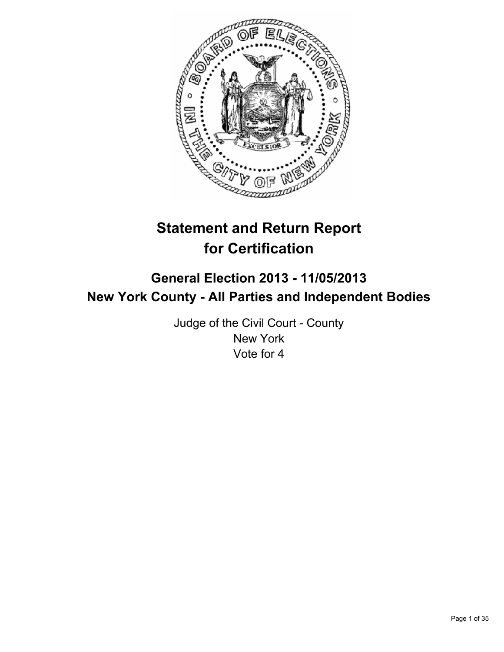

# **Statement and Return Report for Certification**

## **General Election 2013 - 11/05/2013 New York County - All Parties and Independent Bodies**

Judge of the Civil Court - County New York Vote for 4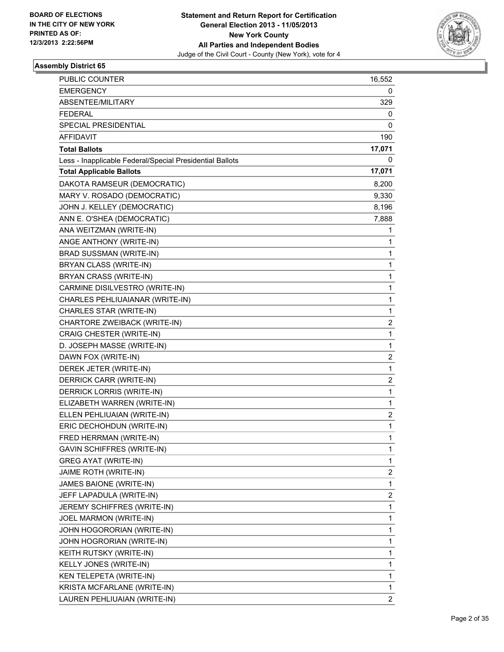

| PUBLIC COUNTER                                           | 16,552                  |
|----------------------------------------------------------|-------------------------|
| <b>EMERGENCY</b>                                         | 0                       |
| ABSENTEE/MILITARY                                        | 329                     |
| <b>FEDERAL</b>                                           | 0                       |
| SPECIAL PRESIDENTIAL                                     | 0                       |
| AFFIDAVIT                                                | 190                     |
| <b>Total Ballots</b>                                     | 17,071                  |
| Less - Inapplicable Federal/Special Presidential Ballots | 0                       |
| <b>Total Applicable Ballots</b>                          | 17,071                  |
| DAKOTA RAMSEUR (DEMOCRATIC)                              | 8,200                   |
| MARY V. ROSADO (DEMOCRATIC)                              | 9,330                   |
| JOHN J. KELLEY (DEMOCRATIC)                              | 8,196                   |
| ANN E. O'SHEA (DEMOCRATIC)                               | 7,888                   |
| ANA WEITZMAN (WRITE-IN)                                  | 1                       |
| ANGE ANTHONY (WRITE-IN)                                  | 1                       |
| BRAD SUSSMAN (WRITE-IN)                                  | 1                       |
| BRYAN CLASS (WRITE-IN)                                   | 1                       |
| BRYAN CRASS (WRITE-IN)                                   | 1                       |
| CARMINE DISILVESTRO (WRITE-IN)                           | 1                       |
| CHARLES PEHLIUAIANAR (WRITE-IN)                          | $\mathbf 1$             |
| CHARLES STAR (WRITE-IN)                                  | 1                       |
| CHARTORE ZWEIBACK (WRITE-IN)                             | 2                       |
| CRAIG CHESTER (WRITE-IN)                                 | $\mathbf{1}$            |
| D. JOSEPH MASSE (WRITE-IN)                               | 1                       |
| DAWN FOX (WRITE-IN)                                      | 2                       |
| DEREK JETER (WRITE-IN)                                   | $\mathbf 1$             |
| DERRICK CARR (WRITE-IN)                                  | 2                       |
| DERRICK LORRIS (WRITE-IN)                                | 1                       |
| ELIZABETH WARREN (WRITE-IN)                              | 1                       |
| ELLEN PEHLIUAIAN (WRITE-IN)                              | 2                       |
| ERIC DECHOHDUN (WRITE-IN)                                | 1                       |
| FRED HERRMAN (WRITE-IN)                                  | 1                       |
| GAVIN SCHIFFRES (WRITE-IN)                               | 1                       |
| <b>GREG AYAT (WRITE-IN)</b>                              | 1                       |
| JAIME ROTH (WRITE-IN)                                    | 2                       |
| JAMES BAIONE (WRITE-IN)                                  | 1                       |
| JEFF LAPADULA (WRITE-IN)                                 | 2                       |
| <b>JEREMY SCHIFFRES (WRITE-IN)</b>                       | 1                       |
| JOEL MARMON (WRITE-IN)                                   | 1                       |
| JOHN HOGORORIAN (WRITE-IN)                               | 1                       |
| JOHN HOGRORIAN (WRITE-IN)                                | 1                       |
| KEITH RUTSKY (WRITE-IN)                                  | 1                       |
| KELLY JONES (WRITE-IN)                                   | 1                       |
| KEN TELEPETA (WRITE-IN)                                  | 1                       |
| KRISTA MCFARLANE (WRITE-IN)                              | 1                       |
| LAUREN PEHLIUAIAN (WRITE-IN)                             | $\overline{\mathbf{c}}$ |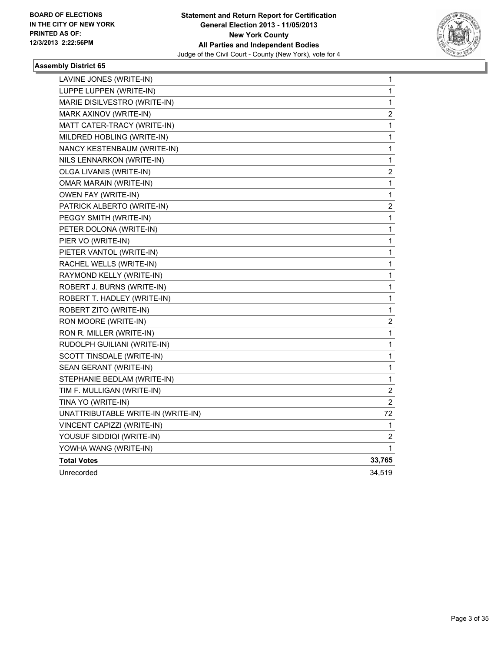

| LAVINE JONES (WRITE-IN)            | 1                       |
|------------------------------------|-------------------------|
| LUPPE LUPPEN (WRITE-IN)            | 1                       |
| MARIE DISILVESTRO (WRITE-IN)       | 1                       |
| MARK AXINOV (WRITE-IN)             | $\overline{\mathbf{c}}$ |
| MATT CATER-TRACY (WRITE-IN)        | 1                       |
| MILDRED HOBLING (WRITE-IN)         | 1                       |
| NANCY KESTENBAUM (WRITE-IN)        | 1                       |
| NILS LENNARKON (WRITE-IN)          | 1                       |
| OLGA LIVANIS (WRITE-IN)            | 2                       |
| <b>OMAR MARAIN (WRITE-IN)</b>      | $\mathbf 1$             |
| OWEN FAY (WRITE-IN)                | 1                       |
| PATRICK ALBERTO (WRITE-IN)         | $\overline{\mathbf{c}}$ |
| PEGGY SMITH (WRITE-IN)             | 1                       |
| PETER DOLONA (WRITE-IN)            | 1                       |
| PIER VO (WRITE-IN)                 | 1                       |
| PIETER VANTOL (WRITE-IN)           | 1                       |
| RACHEL WELLS (WRITE-IN)            | 1                       |
| RAYMOND KELLY (WRITE-IN)           | 1                       |
| ROBERT J. BURNS (WRITE-IN)         | 1                       |
| ROBERT T. HADLEY (WRITE-IN)        | 1                       |
| ROBERT ZITO (WRITE-IN)             | 1                       |
| RON MOORE (WRITE-IN)               | $\overline{\mathbf{c}}$ |
| RON R. MILLER (WRITE-IN)           | 1                       |
| RUDOLPH GUILIANI (WRITE-IN)        | $\mathbf 1$             |
| SCOTT TINSDALE (WRITE-IN)          | 1                       |
| SEAN GERANT (WRITE-IN)             | 1                       |
| STEPHANIE BEDLAM (WRITE-IN)        | 1                       |
| TIM F. MULLIGAN (WRITE-IN)         | 2                       |
| TINA YO (WRITE-IN)                 | 2                       |
| UNATTRIBUTABLE WRITE-IN (WRITE-IN) | 72                      |
| VINCENT CAPIZZI (WRITE-IN)         | 1                       |
| YOUSUF SIDDIQI (WRITE-IN)          | 2                       |
| YOWHA WANG (WRITE-IN)              | 1                       |
| <b>Total Votes</b>                 | 33,765                  |
| Unrecorded                         | 34,519                  |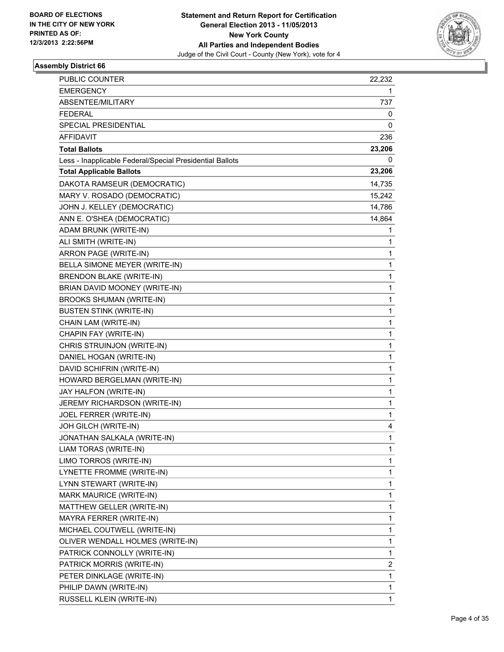

| <b>PUBLIC COUNTER</b>                                    | 22,232                  |
|----------------------------------------------------------|-------------------------|
| <b>EMERGENCY</b>                                         | 1                       |
| <b>ABSENTEE/MILITARY</b>                                 | 737                     |
| <b>FEDERAL</b>                                           | 0                       |
| SPECIAL PRESIDENTIAL                                     | 0                       |
| <b>AFFIDAVIT</b>                                         | 236                     |
| <b>Total Ballots</b>                                     | 23,206                  |
| Less - Inapplicable Federal/Special Presidential Ballots | 0                       |
| <b>Total Applicable Ballots</b>                          | 23,206                  |
| DAKOTA RAMSEUR (DEMOCRATIC)                              | 14,735                  |
| MARY V. ROSADO (DEMOCRATIC)                              | 15,242                  |
| JOHN J. KELLEY (DEMOCRATIC)                              | 14,786                  |
| ANN E. O'SHEA (DEMOCRATIC)                               | 14,864                  |
| ADAM BRUNK (WRITE-IN)                                    | 1                       |
| ALI SMITH (WRITE-IN)                                     | 1                       |
| <b>ARRON PAGE (WRITE-IN)</b>                             | 1                       |
| BELLA SIMONE MEYER (WRITE-IN)                            | 1                       |
| <b>BRENDON BLAKE (WRITE-IN)</b>                          | 1                       |
| BRIAN DAVID MOONEY (WRITE-IN)                            | 1                       |
| <b>BROOKS SHUMAN (WRITE-IN)</b>                          | 1                       |
| <b>BUSTEN STINK (WRITE-IN)</b>                           | 1                       |
| CHAIN LAM (WRITE-IN)                                     | 1                       |
| CHAPIN FAY (WRITE-IN)                                    | 1                       |
| CHRIS STRUINJON (WRITE-IN)                               | 1                       |
| DANIEL HOGAN (WRITE-IN)                                  | 1                       |
| DAVID SCHIFRIN (WRITE-IN)                                | 1                       |
| HOWARD BERGELMAN (WRITE-IN)                              | 1                       |
| JAY HALFON (WRITE-IN)                                    | 1                       |
| JEREMY RICHARDSON (WRITE-IN)                             | 1                       |
| JOEL FERRER (WRITE-IN)                                   | 1                       |
| JOH GILCH (WRITE-IN)                                     | 4                       |
| JONATHAN SALKALA (WRITE-IN)                              | 1                       |
| LIAM TORAS (WRITE-IN)                                    | 1                       |
| LIMO TORROS (WRITE-IN)                                   | 1                       |
| LYNETTE FROMME (WRITE-IN)                                | 1                       |
| LYNN STEWART (WRITE-IN)                                  | 1                       |
| MARK MAURICE (WRITE-IN)                                  | 1                       |
| MATTHEW GELLER (WRITE-IN)                                | 1                       |
| MAYRA FERRER (WRITE-IN)                                  | 1                       |
| MICHAEL COUTWELL (WRITE-IN)                              | 1                       |
| OLIVER WENDALL HOLMES (WRITE-IN)                         | 1                       |
| PATRICK CONNOLLY (WRITE-IN)                              | 1                       |
| PATRICK MORRIS (WRITE-IN)                                | $\overline{\mathbf{c}}$ |
| PETER DINKLAGE (WRITE-IN)                                | 1                       |
| PHILIP DAWN (WRITE-IN)                                   | 1                       |
| RUSSELL KLEIN (WRITE-IN)                                 | $\mathbf{1}$            |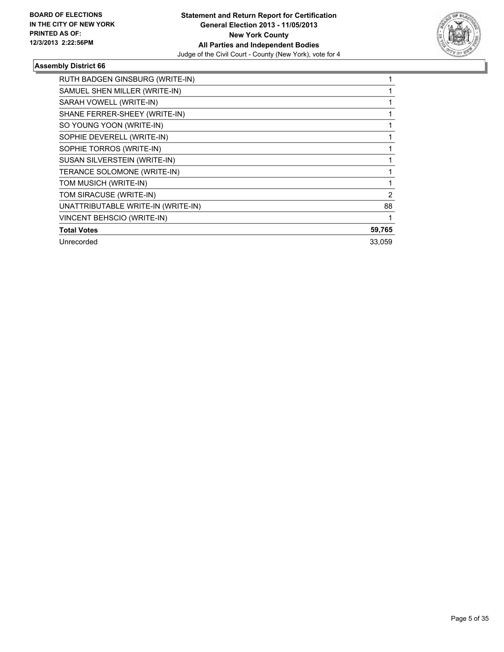

| RUTH BADGEN GINSBURG (WRITE-IN)    |        |
|------------------------------------|--------|
| SAMUEL SHEN MILLER (WRITE-IN)      |        |
| SARAH VOWELL (WRITE-IN)            |        |
| SHANE FERRER-SHEEY (WRITE-IN)      |        |
| SO YOUNG YOON (WRITE-IN)           |        |
| SOPHIE DEVERELL (WRITE-IN)         |        |
| SOPHIE TORROS (WRITE-IN)           |        |
| SUSAN SILVERSTEIN (WRITE-IN)       |        |
| TERANCE SOLOMONE (WRITE-IN)        |        |
| TOM MUSICH (WRITE-IN)              |        |
| TOM SIRACUSE (WRITE-IN)            | 2      |
| UNATTRIBUTABLE WRITE-IN (WRITE-IN) | 88     |
| VINCENT BEHSCIO (WRITE-IN)         |        |
| <b>Total Votes</b>                 | 59,765 |
| Unrecorded                         | 33,059 |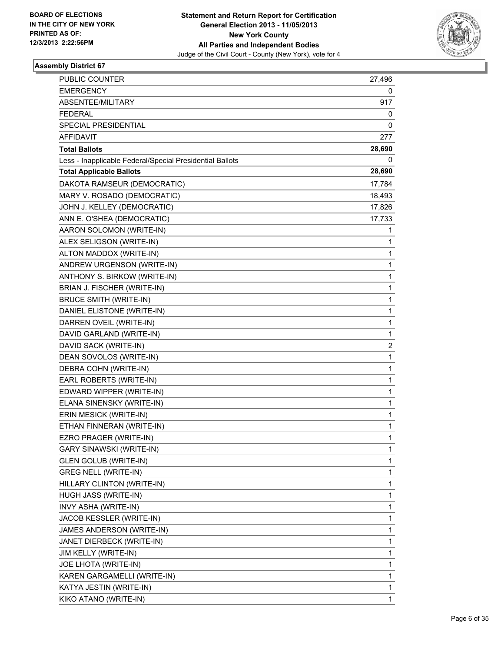

| PUBLIC COUNTER                                           | 27,496 |
|----------------------------------------------------------|--------|
| <b>EMERGENCY</b>                                         | 0      |
| ABSENTEE/MILITARY                                        | 917    |
| <b>FEDERAL</b>                                           | 0      |
| SPECIAL PRESIDENTIAL                                     | 0      |
| <b>AFFIDAVIT</b>                                         | 277    |
| <b>Total Ballots</b>                                     | 28,690 |
| Less - Inapplicable Federal/Special Presidential Ballots | 0      |
| <b>Total Applicable Ballots</b>                          | 28,690 |
| DAKOTA RAMSEUR (DEMOCRATIC)                              | 17,784 |
| MARY V. ROSADO (DEMOCRATIC)                              | 18,493 |
| JOHN J. KELLEY (DEMOCRATIC)                              | 17,826 |
| ANN E. O'SHEA (DEMOCRATIC)                               | 17,733 |
| AARON SOLOMON (WRITE-IN)                                 | 1      |
| ALEX SELIGSON (WRITE-IN)                                 | 1      |
| ALTON MADDOX (WRITE-IN)                                  | 1      |
| ANDREW URGENSON (WRITE-IN)                               | 1      |
| ANTHONY S. BIRKOW (WRITE-IN)                             | 1      |
| BRIAN J. FISCHER (WRITE-IN)                              | 1      |
| <b>BRUCE SMITH (WRITE-IN)</b>                            | 1      |
| DANIEL ELISTONE (WRITE-IN)                               | 1      |
| DARREN OVEIL (WRITE-IN)                                  | 1      |
| DAVID GARLAND (WRITE-IN)                                 | 1      |
| DAVID SACK (WRITE-IN)                                    | 2      |
| DEAN SOVOLOS (WRITE-IN)                                  | 1      |
| DEBRA COHN (WRITE-IN)                                    | 1      |
| EARL ROBERTS (WRITE-IN)                                  | 1      |
| EDWARD WIPPER (WRITE-IN)                                 | 1      |
| ELANA SINENSKY (WRITE-IN)                                | 1      |
| ERIN MESICK (WRITE-IN)                                   | 1      |
| ETHAN FINNERAN (WRITE-IN)                                | 1      |
| EZRO PRAGER (WRITE-IN)                                   | 1      |
| GARY SINAWSKI (WRITE-IN)                                 | 1      |
| <b>GLEN GOLUB (WRITE-IN)</b>                             | 1      |
| <b>GREG NELL (WRITE-IN)</b>                              | 1      |
| HILLARY CLINTON (WRITE-IN)                               | 1      |
| HUGH JASS (WRITE-IN)                                     | 1      |
| INVY ASHA (WRITE-IN)                                     | 1      |
| JACOB KESSLER (WRITE-IN)                                 | 1      |
| JAMES ANDERSON (WRITE-IN)                                | 1      |
| JANET DIERBECK (WRITE-IN)                                | 1      |
| JIM KELLY (WRITE-IN)                                     | 1      |
| JOE LHOTA (WRITE-IN)                                     | 1      |
| KAREN GARGAMELLI (WRITE-IN)                              | 1      |
| KATYA JESTIN (WRITE-IN)                                  | 1      |
| KIKO ATANO (WRITE-IN)                                    | 1      |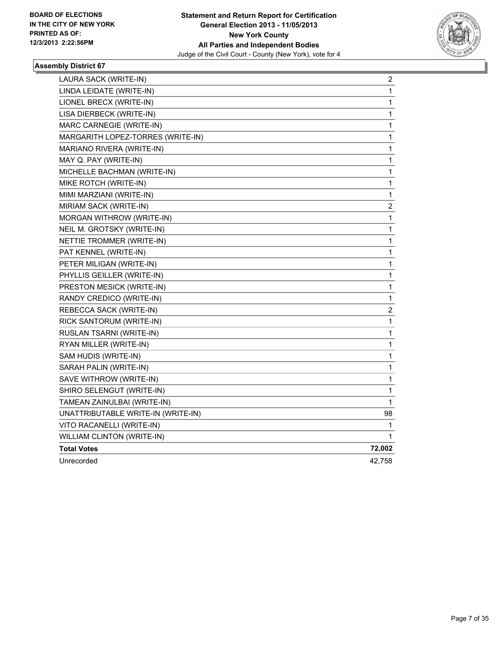

| LAURA SACK (WRITE-IN)              | 2           |
|------------------------------------|-------------|
| LINDA LEIDATE (WRITE-IN)           | 1           |
| LIONEL BRECX (WRITE-IN)            | 1           |
| LISA DIERBECK (WRITE-IN)           | 1           |
| MARC CARNEGIE (WRITE-IN)           | $\mathbf 1$ |
| MARGARITH LOPEZ-TORRES (WRITE-IN)  | 1           |
| MARIANO RIVERA (WRITE-IN)          | $\mathbf 1$ |
| MAY Q. PAY (WRITE-IN)              | 1           |
| MICHELLE BACHMAN (WRITE-IN)        | 1           |
| MIKE ROTCH (WRITE-IN)              | 1           |
| MIMI MARZIANI (WRITE-IN)           | 1           |
| MIRIAM SACK (WRITE-IN)             | 2           |
| MORGAN WITHROW (WRITE-IN)          | 1           |
| NEIL M. GROTSKY (WRITE-IN)         | 1           |
| NETTIE TROMMER (WRITE-IN)          | 1           |
| PAT KENNEL (WRITE-IN)              | 1           |
| PETER MILIGAN (WRITE-IN)           | $\mathbf 1$ |
| PHYLLIS GEILLER (WRITE-IN)         | $\mathbf 1$ |
| PRESTON MESICK (WRITE-IN)          | 1           |
| RANDY CREDICO (WRITE-IN)           | 1           |
| REBECCA SACK (WRITE-IN)            | 2           |
| RICK SANTORUM (WRITE-IN)           | 1           |
| RUSLAN TSARNI (WRITE-IN)           | 1           |
| RYAN MILLER (WRITE-IN)             | 1           |
| SAM HUDIS (WRITE-IN)               | 1           |
| SARAH PALIN (WRITE-IN)             | 1           |
| SAVE WITHROW (WRITE-IN)            | $\mathbf 1$ |
| SHIRO SELENGUT (WRITE-IN)          | 1           |
| TAMEAN ZAINULBAI (WRITE-IN)        | 1           |
| UNATTRIBUTABLE WRITE-IN (WRITE-IN) | 98          |
| VITO RACANELLI (WRITE-IN)          | 1           |
| WILLIAM CLINTON (WRITE-IN)         | 1           |
| <b>Total Votes</b>                 | 72,002      |
| Unrecorded                         | 42,758      |
|                                    |             |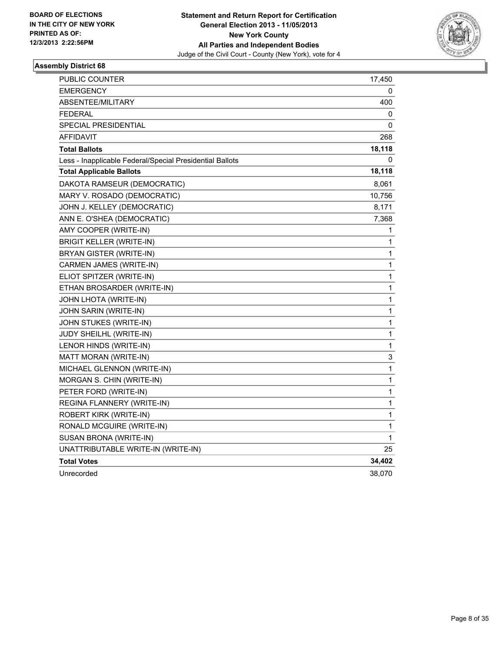

| PUBLIC COUNTER                                           | 17,450       |
|----------------------------------------------------------|--------------|
| <b>EMERGENCY</b>                                         | 0            |
| <b>ABSENTEE/MILITARY</b>                                 | 400          |
| <b>FEDERAL</b>                                           | 0            |
| <b>SPECIAL PRESIDENTIAL</b>                              | 0            |
| AFFIDAVIT                                                | 268          |
| <b>Total Ballots</b>                                     | 18,118       |
| Less - Inapplicable Federal/Special Presidential Ballots | 0            |
| <b>Total Applicable Ballots</b>                          | 18,118       |
| DAKOTA RAMSEUR (DEMOCRATIC)                              | 8,061        |
| MARY V. ROSADO (DEMOCRATIC)                              | 10,756       |
| JOHN J. KELLEY (DEMOCRATIC)                              | 8,171        |
| ANN E. O'SHEA (DEMOCRATIC)                               | 7,368        |
| AMY COOPER (WRITE-IN)                                    | 1            |
| <b>BRIGIT KELLER (WRITE-IN)</b>                          | 1            |
| BRYAN GISTER (WRITE-IN)                                  | 1            |
| CARMEN JAMES (WRITE-IN)                                  | 1            |
| ELIOT SPITZER (WRITE-IN)                                 | 1            |
| ETHAN BROSARDER (WRITE-IN)                               | 1            |
| JOHN LHOTA (WRITE-IN)                                    | 1            |
| JOHN SARIN (WRITE-IN)                                    | 1            |
| JOHN STUKES (WRITE-IN)                                   | 1            |
| JUDY SHEILHL (WRITE-IN)                                  | 1            |
| LENOR HINDS (WRITE-IN)                                   | $\mathbf{1}$ |
| MATT MORAN (WRITE-IN)                                    | 3            |
| MICHAEL GLENNON (WRITE-IN)                               | 1            |
| MORGAN S. CHIN (WRITE-IN)                                | 1            |
| PETER FORD (WRITE-IN)                                    | 1            |
| REGINA FLANNERY (WRITE-IN)                               | 1            |
| ROBERT KIRK (WRITE-IN)                                   | 1            |
| RONALD MCGUIRE (WRITE-IN)                                | 1            |
| SUSAN BRONA (WRITE-IN)                                   | 1            |
| UNATTRIBUTABLE WRITE-IN (WRITE-IN)                       | 25           |
| <b>Total Votes</b>                                       | 34,402       |
| Unrecorded                                               | 38,070       |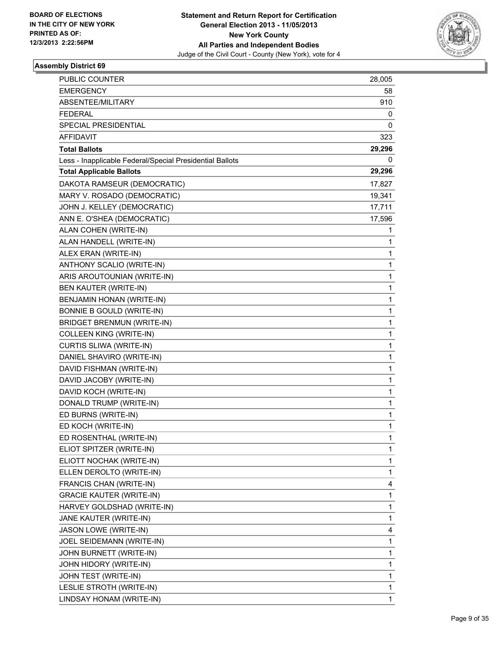

| PUBLIC COUNTER                                           | 28,005      |
|----------------------------------------------------------|-------------|
| <b>EMERGENCY</b>                                         | 58          |
| ABSENTEE/MILITARY                                        | 910         |
| <b>FEDERAL</b>                                           | 0           |
| SPECIAL PRESIDENTIAL                                     | 0           |
| AFFIDAVIT                                                | 323         |
| <b>Total Ballots</b>                                     | 29,296      |
| Less - Inapplicable Federal/Special Presidential Ballots | 0           |
| <b>Total Applicable Ballots</b>                          | 29,296      |
| DAKOTA RAMSEUR (DEMOCRATIC)                              | 17,827      |
| MARY V. ROSADO (DEMOCRATIC)                              | 19,341      |
| JOHN J. KELLEY (DEMOCRATIC)                              | 17,711      |
| ANN E. O'SHEA (DEMOCRATIC)                               | 17,596      |
| ALAN COHEN (WRITE-IN)                                    | 1           |
| ALAN HANDELL (WRITE-IN)                                  | 1           |
| ALEX ERAN (WRITE-IN)                                     | 1           |
| ANTHONY SCALIO (WRITE-IN)                                | 1           |
| ARIS AROUTOUNIAN (WRITE-IN)                              | 1           |
| BEN KAUTER (WRITE-IN)                                    | 1           |
| BENJAMIN HONAN (WRITE-IN)                                | $\mathbf 1$ |
| BONNIE B GOULD (WRITE-IN)                                | 1           |
| <b>BRIDGET BRENMUN (WRITE-IN)</b>                        | 1           |
| <b>COLLEEN KING (WRITE-IN)</b>                           | 1           |
| CURTIS SLIWA (WRITE-IN)                                  | 1           |
| DANIEL SHAVIRO (WRITE-IN)                                | 1           |
| DAVID FISHMAN (WRITE-IN)                                 | $\mathbf 1$ |
| DAVID JACOBY (WRITE-IN)                                  | 1           |
| DAVID KOCH (WRITE-IN)                                    | 1           |
| DONALD TRUMP (WRITE-IN)                                  | 1           |
| ED BURNS (WRITE-IN)                                      | 1           |
| ED KOCH (WRITE-IN)                                       | 1           |
| ED ROSENTHAL (WRITE-IN)                                  | 1           |
| ELIOT SPITZER (WRITE-IN)                                 | 1           |
| ELIOTT NOCHAK (WRITE-IN)                                 | 1           |
| ELLEN DEROLTO (WRITE-IN)                                 | 1           |
| FRANCIS CHAN (WRITE-IN)                                  | 4           |
| <b>GRACIE KAUTER (WRITE-IN)</b>                          | 1           |
| HARVEY GOLDSHAD (WRITE-IN)                               | 1           |
| JANE KAUTER (WRITE-IN)                                   | 1           |
| JASON LOWE (WRITE-IN)                                    | 4           |
| JOEL SEIDEMANN (WRITE-IN)                                | 1           |
| JOHN BURNETT (WRITE-IN)                                  | 1           |
| JOHN HIDORY (WRITE-IN)                                   | 1           |
| JOHN TEST (WRITE-IN)                                     | 1           |
| LESLIE STROTH (WRITE-IN)                                 | 1           |
| LINDSAY HONAM (WRITE-IN)                                 | 1           |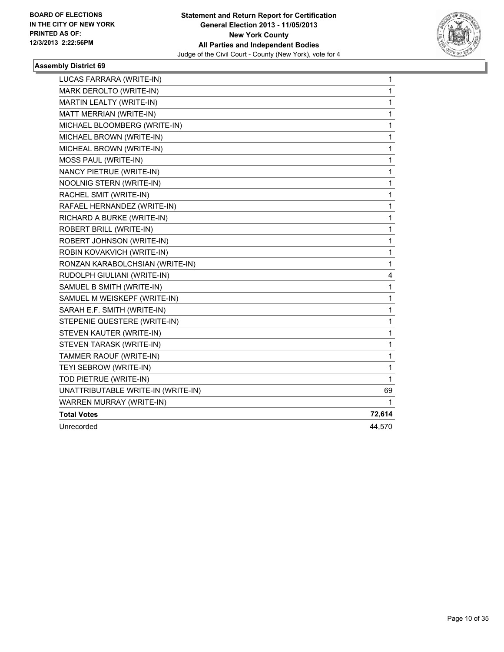

| LUCAS FARRARA (WRITE-IN)           | $\mathbf 1$  |
|------------------------------------|--------------|
| MARK DEROLTO (WRITE-IN)            | 1            |
| MARTIN LEALTY (WRITE-IN)           | 1            |
| MATT MERRIAN (WRITE-IN)            | 1            |
| MICHAEL BLOOMBERG (WRITE-IN)       | 1            |
| MICHAEL BROWN (WRITE-IN)           | 1            |
| MICHEAL BROWN (WRITE-IN)           | 1            |
| MOSS PAUL (WRITE-IN)               | 1            |
| NANCY PIETRUE (WRITE-IN)           | $\mathbf 1$  |
| NOOLNIG STERN (WRITE-IN)           | 1            |
| RACHEL SMIT (WRITE-IN)             | 1            |
| RAFAEL HERNANDEZ (WRITE-IN)        | 1            |
| RICHARD A BURKE (WRITE-IN)         | 1            |
| ROBERT BRILL (WRITE-IN)            | 1            |
| ROBERT JOHNSON (WRITE-IN)          | 1            |
| ROBIN KOVAKVICH (WRITE-IN)         | 1            |
| RONZAN KARABOLCHSIAN (WRITE-IN)    | $\mathbf{1}$ |
| RUDOLPH GIULIANI (WRITE-IN)        | 4            |
| SAMUEL B SMITH (WRITE-IN)          | 1            |
| SAMUEL M WEISKEPF (WRITE-IN)       | 1            |
| SARAH E.F. SMITH (WRITE-IN)        | 1            |
| STEPENIE QUESTERE (WRITE-IN)       | 1            |
| STEVEN KAUTER (WRITE-IN)           | 1            |
| STEVEN TARASK (WRITE-IN)           | 1            |
| TAMMER RAOUF (WRITE-IN)            | 1            |
| TEYI SEBROW (WRITE-IN)             | 1            |
| TOD PIETRUE (WRITE-IN)             | 1            |
| UNATTRIBUTABLE WRITE-IN (WRITE-IN) | 69           |
| WARREN MURRAY (WRITE-IN)           | 1            |
| <b>Total Votes</b>                 | 72,614       |
| Unrecorded                         | 44,570       |
|                                    |              |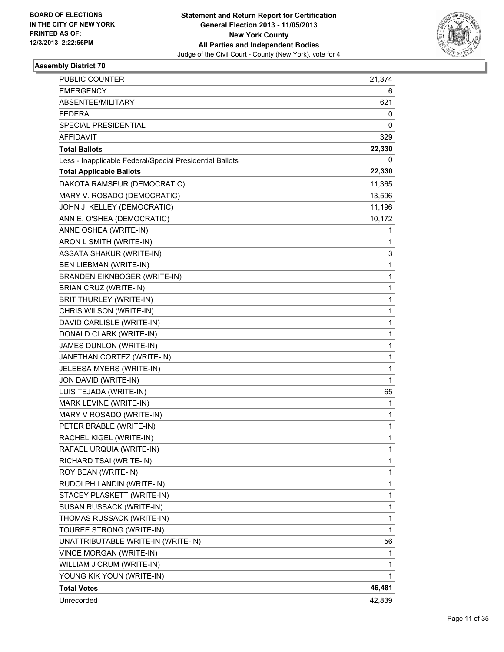

| <b>PUBLIC COUNTER</b>                                    | 21,374       |
|----------------------------------------------------------|--------------|
| <b>EMERGENCY</b>                                         | 6            |
| ABSENTEE/MILITARY                                        | 621          |
| <b>FEDERAL</b>                                           | 0            |
| SPECIAL PRESIDENTIAL                                     | 0            |
| <b>AFFIDAVIT</b>                                         | 329          |
| <b>Total Ballots</b>                                     | 22,330       |
| Less - Inapplicable Federal/Special Presidential Ballots | 0            |
| <b>Total Applicable Ballots</b>                          | 22,330       |
| DAKOTA RAMSEUR (DEMOCRATIC)                              | 11,365       |
| MARY V. ROSADO (DEMOCRATIC)                              | 13,596       |
| JOHN J. KELLEY (DEMOCRATIC)                              | 11,196       |
| ANN E. O'SHEA (DEMOCRATIC)                               | 10,172       |
| ANNE OSHEA (WRITE-IN)                                    | 1            |
| ARON L SMITH (WRITE-IN)                                  | 1            |
| <b>ASSATA SHAKUR (WRITE-IN)</b>                          | 3            |
| <b>BEN LIEBMAN (WRITE-IN)</b>                            | 1            |
| <b>BRANDEN EIKNBOGER (WRITE-IN)</b>                      | 1            |
| BRIAN CRUZ (WRITE-IN)                                    | 1            |
| BRIT THURLEY (WRITE-IN)                                  | 1            |
| CHRIS WILSON (WRITE-IN)                                  | 1            |
| DAVID CARLISLE (WRITE-IN)                                | 1            |
| DONALD CLARK (WRITE-IN)                                  | 1            |
| JAMES DUNLON (WRITE-IN)                                  | 1            |
| JANETHAN CORTEZ (WRITE-IN)                               | 1            |
| JELEESA MYERS (WRITE-IN)                                 | 1            |
| JON DAVID (WRITE-IN)                                     | $\mathbf{1}$ |
| LUIS TEJADA (WRITE-IN)                                   | 65           |
| MARK LEVINE (WRITE-IN)                                   | 1            |
| MARY V ROSADO (WRITE-IN)                                 | 1            |
| PETER BRABLE (WRITE-IN)                                  | 1            |
| RACHEL KIGEL (WRITE-IN)                                  | 1            |
| RAFAEL URQUIA (WRITE-IN)                                 | 1            |
| RICHARD TSAI (WRITE-IN)                                  | 1            |
| ROY BEAN (WRITE-IN)                                      | 1            |
| RUDOLPH LANDIN (WRITE-IN)                                | 1            |
| STACEY PLASKETT (WRITE-IN)                               | 1            |
| SUSAN RUSSACK (WRITE-IN)                                 | 1            |
| THOMAS RUSSACK (WRITE-IN)                                | 1            |
| TOUREE STRONG (WRITE-IN)                                 | 1            |
| UNATTRIBUTABLE WRITE-IN (WRITE-IN)                       | 56           |
| VINCE MORGAN (WRITE-IN)                                  | 1            |
| WILLIAM J CRUM (WRITE-IN)                                | 1            |
| YOUNG KIK YOUN (WRITE-IN)                                | 1            |
| <b>Total Votes</b>                                       | 46,481       |
| Unrecorded                                               | 42,839       |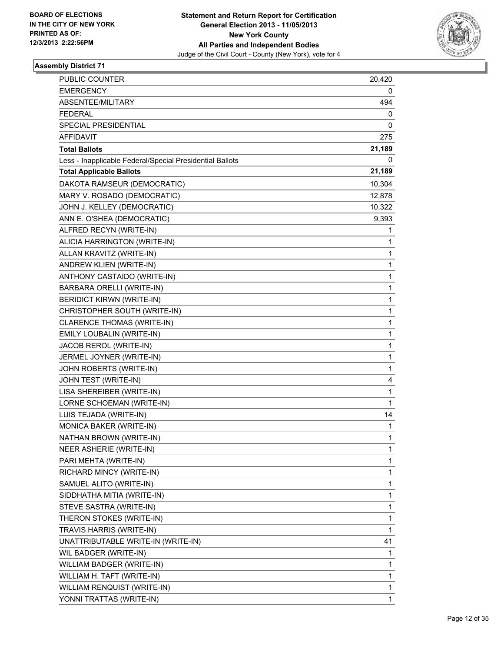

| PUBLIC COUNTER                                           | 20,420      |
|----------------------------------------------------------|-------------|
| <b>EMERGENCY</b>                                         | 0           |
| ABSENTEE/MILITARY                                        | 494         |
| <b>FEDERAL</b>                                           | 0           |
| SPECIAL PRESIDENTIAL                                     | 0           |
| AFFIDAVIT                                                | 275         |
| <b>Total Ballots</b>                                     | 21,189      |
| Less - Inapplicable Federal/Special Presidential Ballots | 0           |
| <b>Total Applicable Ballots</b>                          | 21,189      |
| DAKOTA RAMSEUR (DEMOCRATIC)                              | 10,304      |
| MARY V. ROSADO (DEMOCRATIC)                              | 12,878      |
| JOHN J. KELLEY (DEMOCRATIC)                              | 10,322      |
| ANN E. O'SHEA (DEMOCRATIC)                               | 9,393       |
| ALFRED RECYN (WRITE-IN)                                  | 1           |
| ALICIA HARRINGTON (WRITE-IN)                             | 1           |
| ALLAN KRAVITZ (WRITE-IN)                                 | 1           |
| ANDREW KLIEN (WRITE-IN)                                  | 1           |
| ANTHONY CASTAIDO (WRITE-IN)                              | 1           |
| BARBARA ORELLI (WRITE-IN)                                | 1           |
| <b>BERIDICT KIRWN (WRITE-IN)</b>                         | $\mathbf 1$ |
| CHRISTOPHER SOUTH (WRITE-IN)                             | 1           |
| CLARENCE THOMAS (WRITE-IN)                               | 1           |
| EMILY LOUBALIN (WRITE-IN)                                | 1           |
| JACOB REROL (WRITE-IN)                                   | 1           |
| JERMEL JOYNER (WRITE-IN)                                 | 1           |
| JOHN ROBERTS (WRITE-IN)                                  | 1           |
| JOHN TEST (WRITE-IN)                                     | 4           |
| LISA SHEREIBER (WRITE-IN)                                | 1           |
| LORNE SCHOEMAN (WRITE-IN)                                | 1           |
| LUIS TEJADA (WRITE-IN)                                   | 14          |
| MONICA BAKER (WRITE-IN)                                  | 1           |
| NATHAN BROWN (WRITE-IN)                                  | 1           |
| NEER ASHERIE (WRITE-IN)                                  | 1           |
| PARI MEHTA (WRITE-IN)                                    | 1           |
| RICHARD MINCY (WRITE-IN)                                 | 1           |
| SAMUEL ALITO (WRITE-IN)                                  | 1           |
| SIDDHATHA MITIA (WRITE-IN)                               | 1           |
| STEVE SASTRA (WRITE-IN)                                  | 1           |
| THERON STOKES (WRITE-IN)                                 | 1           |
| TRAVIS HARRIS (WRITE-IN)                                 | 1           |
| UNATTRIBUTABLE WRITE-IN (WRITE-IN)                       | 41          |
| WIL BADGER (WRITE-IN)                                    | 1           |
| WILLIAM BADGER (WRITE-IN)                                | 1           |
| WILLIAM H. TAFT (WRITE-IN)                               | 1           |
| WILLIAM RENQUIST (WRITE-IN)                              | 1           |
| YONNI TRATTAS (WRITE-IN)                                 | 1           |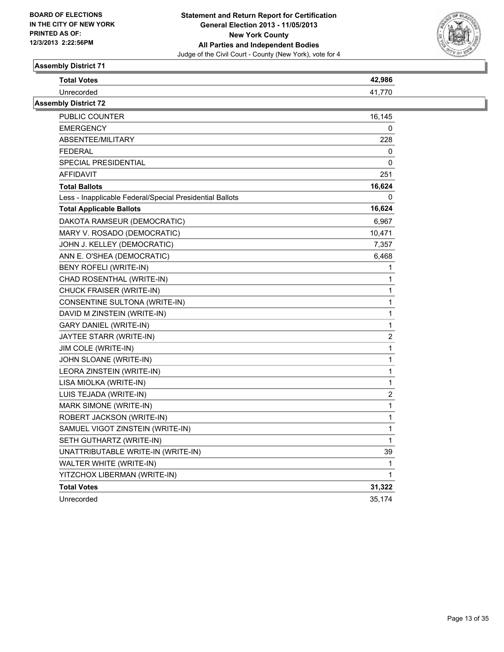

| <b>Total Votes</b>                                       | 42,986                  |
|----------------------------------------------------------|-------------------------|
| Unrecorded                                               | 41,770                  |
| <b>Assembly District 72</b>                              |                         |
| PUBLIC COUNTER                                           | 16,145                  |
| <b>EMERGENCY</b>                                         | 0                       |
| ABSENTEE/MILITARY                                        | 228                     |
| <b>FEDERAL</b>                                           | 0                       |
| <b>SPECIAL PRESIDENTIAL</b>                              | 0                       |
| <b>AFFIDAVIT</b>                                         | 251                     |
| <b>Total Ballots</b>                                     | 16,624                  |
| Less - Inapplicable Federal/Special Presidential Ballots | 0                       |
| <b>Total Applicable Ballots</b>                          | 16,624                  |
| DAKOTA RAMSEUR (DEMOCRATIC)                              | 6,967                   |
| MARY V. ROSADO (DEMOCRATIC)                              | 10,471                  |
| JOHN J. KELLEY (DEMOCRATIC)                              | 7,357                   |
| ANN E. O'SHEA (DEMOCRATIC)                               | 6,468                   |
| BENY ROFELI (WRITE-IN)                                   | 1                       |
| CHAD ROSENTHAL (WRITE-IN)                                | 1                       |
| CHUCK FRAISER (WRITE-IN)                                 | $\mathbf{1}$            |
| CONSENTINE SULTONA (WRITE-IN)                            | 1                       |
| DAVID M ZINSTEIN (WRITE-IN)                              | 1                       |
| GARY DANIEL (WRITE-IN)                                   | $\mathbf{1}$            |
| JAYTEE STARR (WRITE-IN)                                  | $\overline{2}$          |
| JIM COLE (WRITE-IN)                                      | $\mathbf 1$             |
| JOHN SLOANE (WRITE-IN)                                   | $\mathbf{1}$            |
| LEORA ZINSTEIN (WRITE-IN)                                | 1                       |
| LISA MIOLKA (WRITE-IN)                                   | $\mathbf 1$             |
| LUIS TEJADA (WRITE-IN)                                   | $\overline{\mathbf{c}}$ |
| MARK SIMONE (WRITE-IN)                                   | 1                       |
| ROBERT JACKSON (WRITE-IN)                                | $\mathbf{1}$            |
| SAMUEL VIGOT ZINSTEIN (WRITE-IN)                         | $\mathbf{1}$            |
| SETH GUTHARTZ (WRITE-IN)                                 | 1                       |
| UNATTRIBUTABLE WRITE-IN (WRITE-IN)                       | 39                      |
| WALTER WHITE (WRITE-IN)                                  | $\mathbf{1}$            |
| YITZCHOX LIBERMAN (WRITE-IN)                             | $\mathbf{1}$            |
| <b>Total Votes</b>                                       | 31,322                  |
| Unrecorded                                               | 35,174                  |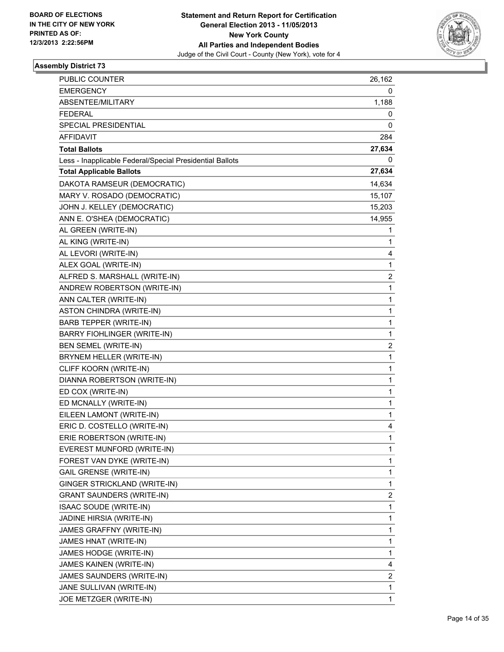

| <b>PUBLIC COUNTER</b>                                    | 26,162         |
|----------------------------------------------------------|----------------|
| <b>EMERGENCY</b>                                         | 0              |
| ABSENTEE/MILITARY                                        | 1,188          |
| <b>FEDERAL</b>                                           | 0              |
| SPECIAL PRESIDENTIAL                                     | 0              |
| <b>AFFIDAVIT</b>                                         | 284            |
| <b>Total Ballots</b>                                     | 27,634         |
| Less - Inapplicable Federal/Special Presidential Ballots | 0              |
| <b>Total Applicable Ballots</b>                          | 27,634         |
| DAKOTA RAMSEUR (DEMOCRATIC)                              | 14,634         |
| MARY V. ROSADO (DEMOCRATIC)                              | 15,107         |
| JOHN J. KELLEY (DEMOCRATIC)                              | 15,203         |
| ANN E. O'SHEA (DEMOCRATIC)                               | 14,955         |
| AL GREEN (WRITE-IN)                                      | 1              |
| AL KING (WRITE-IN)                                       | $\mathbf{1}$   |
| AL LEVORI (WRITE-IN)                                     | 4              |
| ALEX GOAL (WRITE-IN)                                     | 1              |
| ALFRED S. MARSHALL (WRITE-IN)                            | 2              |
| ANDREW ROBERTSON (WRITE-IN)                              | 1              |
| ANN CALTER (WRITE-IN)                                    | $\mathbf 1$    |
| ASTON CHINDRA (WRITE-IN)                                 | 1              |
| <b>BARB TEPPER (WRITE-IN)</b>                            | 1              |
| BARRY FIOHLINGER (WRITE-IN)                              | 1              |
| BEN SEMEL (WRITE-IN)                                     | 2              |
| BRYNEM HELLER (WRITE-IN)                                 | 1              |
| CLIFF KOORN (WRITE-IN)                                   | 1              |
| DIANNA ROBERTSON (WRITE-IN)                              | 1              |
| ED COX (WRITE-IN)                                        | 1              |
| ED MCNALLY (WRITE-IN)                                    | 1              |
| EILEEN LAMONT (WRITE-IN)                                 | $\mathbf 1$    |
| ERIC D. COSTELLO (WRITE-IN)                              | 4              |
| ERIE ROBERTSON (WRITE-IN)                                | 1              |
| EVEREST MUNFORD (WRITE-IN)                               | 1              |
| FOREST VAN DYKE (WRITE-IN)                               | 1              |
| <b>GAIL GRENSE (WRITE-IN)</b>                            | 1              |
| GINGER STRICKLAND (WRITE-IN)                             | 1              |
| <b>GRANT SAUNDERS (WRITE-IN)</b>                         | $\overline{c}$ |
| ISAAC SOUDE (WRITE-IN)                                   | 1              |
| JADINE HIRSIA (WRITE-IN)                                 | 1              |
| JAMES GRAFFNY (WRITE-IN)                                 | 1              |
| JAMES HNAT (WRITE-IN)                                    | 1              |
| JAMES HODGE (WRITE-IN)                                   | 1              |
| JAMES KAINEN (WRITE-IN)                                  | 4              |
| JAMES SAUNDERS (WRITE-IN)                                | 2              |
| JANE SULLIVAN (WRITE-IN)                                 | 1              |
| JOE METZGER (WRITE-IN)                                   | 1              |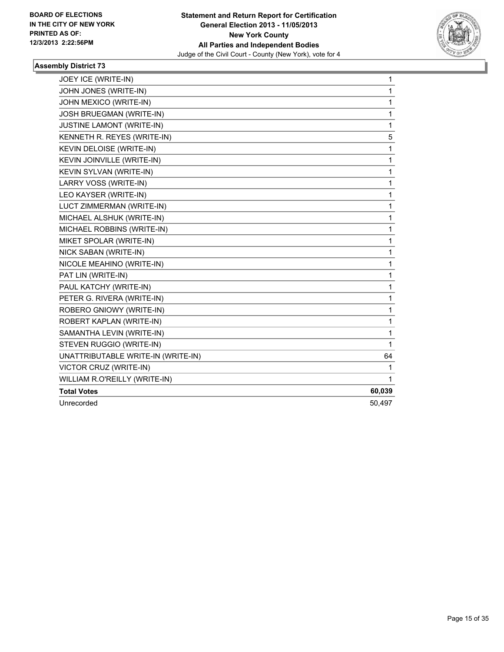

| JOEY ICE (WRITE-IN)                | 1      |
|------------------------------------|--------|
| JOHN JONES (WRITE-IN)              | 1      |
| JOHN MEXICO (WRITE-IN)             | 1      |
| JOSH BRUEGMAN (WRITE-IN)           | 1      |
| <b>JUSTINE LAMONT (WRITE-IN)</b>   | 1      |
| KENNETH R. REYES (WRITE-IN)        | 5      |
| KEVIN DELOISE (WRITE-IN)           | 1      |
| KEVIN JOINVILLE (WRITE-IN)         | 1      |
| KEVIN SYLVAN (WRITE-IN)            | 1      |
| LARRY VOSS (WRITE-IN)              | 1      |
| LEO KAYSER (WRITE-IN)              | 1      |
| LUCT ZIMMERMAN (WRITE-IN)          | 1      |
| MICHAEL ALSHUK (WRITE-IN)          | 1      |
| MICHAEL ROBBINS (WRITE-IN)         | 1      |
| MIKET SPOLAR (WRITE-IN)            | 1      |
| NICK SABAN (WRITE-IN)              | 1      |
| NICOLE MEAHINO (WRITE-IN)          | 1      |
| PAT LIN (WRITE-IN)                 | 1      |
| PAUL KATCHY (WRITE-IN)             | 1      |
| PETER G. RIVERA (WRITE-IN)         | 1      |
| ROBERO GNIOWY (WRITE-IN)           | 1      |
| ROBERT KAPLAN (WRITE-IN)           | 1      |
| SAMANTHA LEVIN (WRITE-IN)          | 1      |
| STEVEN RUGGIO (WRITE-IN)           | 1      |
| UNATTRIBUTABLE WRITE-IN (WRITE-IN) | 64     |
| VICTOR CRUZ (WRITE-IN)             | 1      |
| WILLIAM R.O'REILLY (WRITE-IN)      | 1      |
| <b>Total Votes</b>                 | 60,039 |
| Unrecorded                         | 50,497 |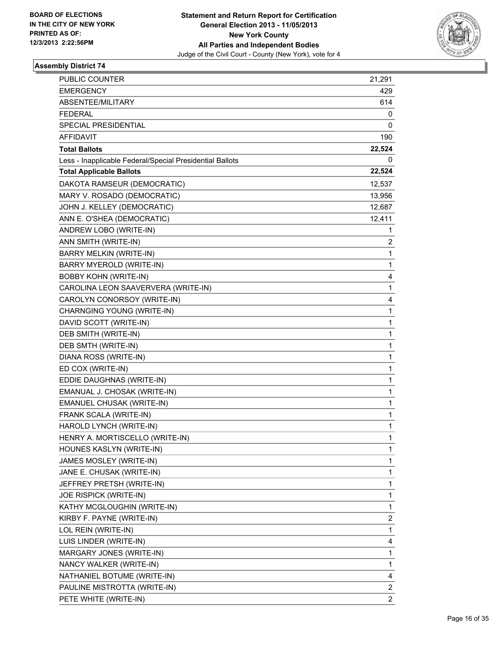

| PUBLIC COUNTER                                           | 21,291                  |
|----------------------------------------------------------|-------------------------|
| <b>EMERGENCY</b>                                         | 429                     |
| ABSENTEE/MILITARY                                        | 614                     |
| <b>FEDERAL</b>                                           | 0                       |
| SPECIAL PRESIDENTIAL                                     | 0                       |
| AFFIDAVIT                                                | 190                     |
| <b>Total Ballots</b>                                     | 22,524                  |
| Less - Inapplicable Federal/Special Presidential Ballots | 0                       |
| <b>Total Applicable Ballots</b>                          | 22,524                  |
| DAKOTA RAMSEUR (DEMOCRATIC)                              | 12,537                  |
| MARY V. ROSADO (DEMOCRATIC)                              | 13,956                  |
| JOHN J. KELLEY (DEMOCRATIC)                              | 12,687                  |
| ANN E. O'SHEA (DEMOCRATIC)                               | 12,411                  |
| ANDREW LOBO (WRITE-IN)                                   | 1                       |
| ANN SMITH (WRITE-IN)                                     | 2                       |
| BARRY MELKIN (WRITE-IN)                                  | 1                       |
| BARRY MYEROLD (WRITE-IN)                                 | 1                       |
| <b>BOBBY KOHN (WRITE-IN)</b>                             | 4                       |
| CAROLINA LEON SAAVERVERA (WRITE-IN)                      | 1                       |
| CAROLYN CONORSOY (WRITE-IN)                              | 4                       |
| CHARNGING YOUNG (WRITE-IN)                               | 1                       |
| DAVID SCOTT (WRITE-IN)                                   | 1                       |
| DEB SMITH (WRITE-IN)                                     | 1                       |
| DEB SMTH (WRITE-IN)                                      | 1                       |
| DIANA ROSS (WRITE-IN)                                    | 1                       |
| ED COX (WRITE-IN)                                        | $\mathbf 1$             |
| EDDIE DAUGHNAS (WRITE-IN)                                | 1                       |
| EMANUAL J. CHOSAK (WRITE-IN)                             | 1                       |
| EMANUEL CHUSAK (WRITE-IN)                                | 1                       |
| FRANK SCALA (WRITE-IN)                                   | 1                       |
| HAROLD LYNCH (WRITE-IN)                                  | 1                       |
| HENRY A. MORTISCELLO (WRITE-IN)                          | 1                       |
| HOUNES KASLYN (WRITE-IN)                                 | 1                       |
| JAMES MOSLEY (WRITE-IN)                                  | 1                       |
| JANE E. CHUSAK (WRITE-IN)                                | 1                       |
| JEFFREY PRETSH (WRITE-IN)                                | 1                       |
| JOE RISPICK (WRITE-IN)                                   | 1                       |
| KATHY MCGLOUGHIN (WRITE-IN)                              | 1                       |
| KIRBY F. PAYNE (WRITE-IN)                                | 2                       |
| LOL REIN (WRITE-IN)                                      | 1                       |
| LUIS LINDER (WRITE-IN)                                   | 4                       |
| MARGARY JONES (WRITE-IN)                                 | 1                       |
| NANCY WALKER (WRITE-IN)                                  | 1                       |
| NATHANIEL BOTUME (WRITE-IN)                              | 4                       |
| PAULINE MISTROTTA (WRITE-IN)                             | 2                       |
| PETE WHITE (WRITE-IN)                                    | $\overline{\mathbf{c}}$ |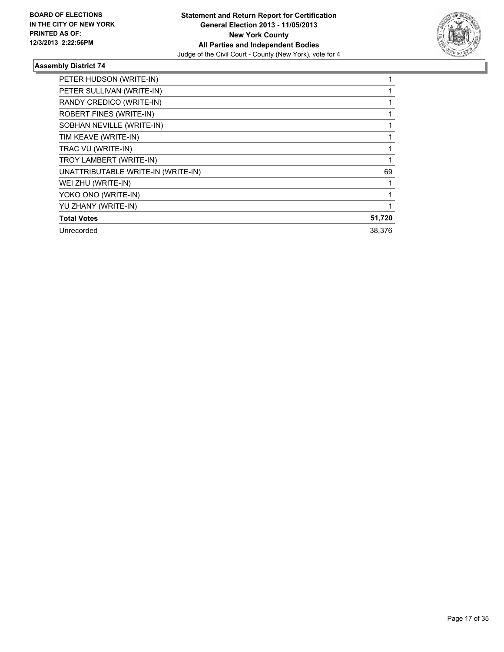

| PETER HUDSON (WRITE-IN)            |        |
|------------------------------------|--------|
| PETER SULLIVAN (WRITE-IN)          |        |
| RANDY CREDICO (WRITE-IN)           |        |
| ROBERT FINES (WRITE-IN)            |        |
| SOBHAN NEVILLE (WRITE-IN)          |        |
| TIM KEAVE (WRITE-IN)               |        |
| TRAC VU (WRITE-IN)                 |        |
| TROY LAMBERT (WRITE-IN)            |        |
| UNATTRIBUTABLE WRITE-IN (WRITE-IN) | 69     |
| WEI ZHU (WRITE-IN)                 |        |
| YOKO ONO (WRITE-IN)                |        |
| YU ZHANY (WRITE-IN)                |        |
| <b>Total Votes</b>                 | 51,720 |
| Unrecorded                         | 38.376 |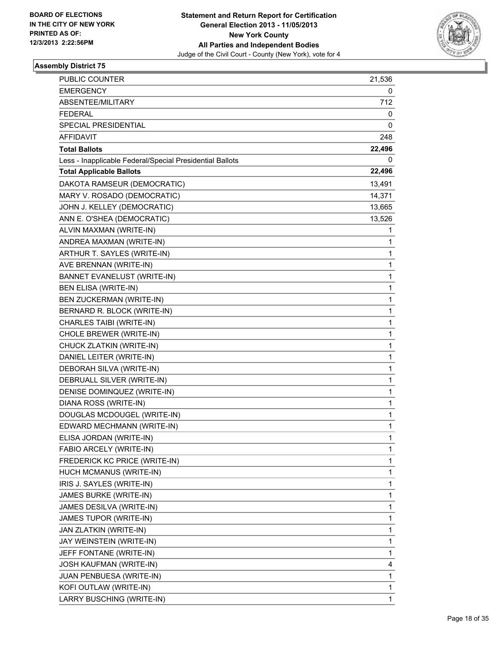

| PUBLIC COUNTER                                           | 21,536 |
|----------------------------------------------------------|--------|
| <b>EMERGENCY</b>                                         | 0      |
| <b>ABSENTEE/MILITARY</b>                                 | 712    |
| <b>FEDERAL</b>                                           | 0      |
| SPECIAL PRESIDENTIAL                                     | 0      |
| <b>AFFIDAVIT</b>                                         | 248    |
| <b>Total Ballots</b>                                     | 22,496 |
| Less - Inapplicable Federal/Special Presidential Ballots | 0      |
| <b>Total Applicable Ballots</b>                          | 22,496 |
| DAKOTA RAMSEUR (DEMOCRATIC)                              | 13,491 |
| MARY V. ROSADO (DEMOCRATIC)                              | 14,371 |
| JOHN J. KELLEY (DEMOCRATIC)                              | 13,665 |
| ANN E. O'SHEA (DEMOCRATIC)                               | 13,526 |
| ALVIN MAXMAN (WRITE-IN)                                  | 1      |
| ANDREA MAXMAN (WRITE-IN)                                 | 1      |
| ARTHUR T. SAYLES (WRITE-IN)                              | 1      |
| AVE BRENNAN (WRITE-IN)                                   | 1      |
| <b>BANNET EVANELUST (WRITE-IN)</b>                       | 1      |
| <b>BEN ELISA (WRITE-IN)</b>                              | 1      |
| BEN ZUCKERMAN (WRITE-IN)                                 | 1      |
| BERNARD R. BLOCK (WRITE-IN)                              | 1      |
| CHARLES TAIBI (WRITE-IN)                                 | 1      |
| CHOLE BREWER (WRITE-IN)                                  | 1      |
| CHUCK ZLATKIN (WRITE-IN)                                 | 1      |
| DANIEL LEITER (WRITE-IN)                                 | 1      |
| DEBORAH SILVA (WRITE-IN)                                 | 1      |
| DEBRUALL SILVER (WRITE-IN)                               | 1      |
| DENISE DOMINQUEZ (WRITE-IN)                              | 1      |
| DIANA ROSS (WRITE-IN)                                    | 1      |
| DOUGLAS MCDOUGEL (WRITE-IN)                              | 1      |
| EDWARD MECHMANN (WRITE-IN)                               | 1      |
| ELISA JORDAN (WRITE-IN)                                  | 1      |
| FABIO ARCELY (WRITE-IN)                                  | 1      |
| FREDERICK KC PRICE (WRITE-IN)                            | 1      |
| HUCH MCMANUS (WRITE-IN)                                  | 1      |
| IRIS J. SAYLES (WRITE-IN)                                | 1      |
| JAMES BURKE (WRITE-IN)                                   | 1      |
| JAMES DESILVA (WRITE-IN)                                 | 1      |
| JAMES TUPOR (WRITE-IN)                                   | 1      |
| JAN ZLATKIN (WRITE-IN)                                   | 1      |
| JAY WEINSTEIN (WRITE-IN)                                 | 1      |
| JEFF FONTANE (WRITE-IN)                                  | 1      |
| JOSH KAUFMAN (WRITE-IN)                                  | 4      |
| JUAN PENBUESA (WRITE-IN)                                 | 1      |
| KOFI OUTLAW (WRITE-IN)                                   | 1      |
| LARRY BUSCHING (WRITE-IN)                                | 1      |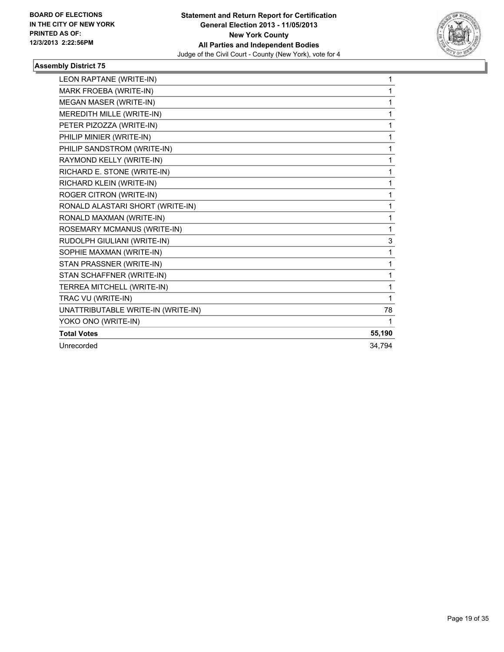

| LEON RAPTANE (WRITE-IN)            | 1      |
|------------------------------------|--------|
| MARK FROEBA (WRITE-IN)             | 1      |
| MEGAN MASER (WRITE-IN)             | 1      |
| MEREDITH MILLE (WRITE-IN)          | 1      |
| PETER PIZOZZA (WRITE-IN)           | 1      |
| PHILIP MINIER (WRITE-IN)           | 1      |
| PHILIP SANDSTROM (WRITE-IN)        | 1      |
| RAYMOND KELLY (WRITE-IN)           | 1      |
| RICHARD E. STONE (WRITE-IN)        | 1      |
| RICHARD KLEIN (WRITE-IN)           | 1      |
| ROGER CITRON (WRITE-IN)            | 1      |
| RONALD ALASTARI SHORT (WRITE-IN)   | 1      |
| RONALD MAXMAN (WRITE-IN)           | 1      |
| ROSEMARY MCMANUS (WRITE-IN)        | 1      |
| RUDOLPH GIULIANI (WRITE-IN)        | 3      |
| SOPHIE MAXMAN (WRITE-IN)           | 1      |
| STAN PRASSNER (WRITE-IN)           | 1      |
| STAN SCHAFFNER (WRITE-IN)          | 1      |
| TERREA MITCHELL (WRITE-IN)         | 1      |
| TRAC VU (WRITE-IN)                 | 1      |
| UNATTRIBUTABLE WRITE-IN (WRITE-IN) | 78     |
| YOKO ONO (WRITE-IN)                |        |
| <b>Total Votes</b>                 | 55,190 |
| Unrecorded                         | 34,794 |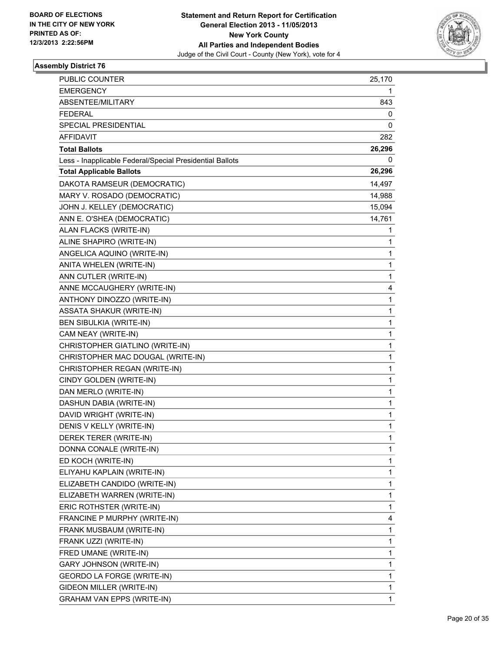

| PUBLIC COUNTER                                           | 25,170      |
|----------------------------------------------------------|-------------|
| <b>EMERGENCY</b>                                         | 1           |
| ABSENTEE/MILITARY                                        | 843         |
| <b>FEDERAL</b>                                           | 0           |
| SPECIAL PRESIDENTIAL                                     | 0           |
| AFFIDAVIT                                                | 282         |
| <b>Total Ballots</b>                                     | 26,296      |
| Less - Inapplicable Federal/Special Presidential Ballots | 0           |
| <b>Total Applicable Ballots</b>                          | 26,296      |
| DAKOTA RAMSEUR (DEMOCRATIC)                              | 14,497      |
| MARY V. ROSADO (DEMOCRATIC)                              | 14,988      |
| JOHN J. KELLEY (DEMOCRATIC)                              | 15,094      |
| ANN E. O'SHEA (DEMOCRATIC)                               | 14,761      |
| ALAN FLACKS (WRITE-IN)                                   | 1           |
| ALINE SHAPIRO (WRITE-IN)                                 | 1           |
| ANGELICA AQUINO (WRITE-IN)                               | 1           |
| ANITA WHELEN (WRITE-IN)                                  | 1           |
| ANN CUTLER (WRITE-IN)                                    | 1           |
| ANNE MCCAUGHERY (WRITE-IN)                               | 4           |
| ANTHONY DINOZZO (WRITE-IN)                               | $\mathbf 1$ |
| <b>ASSATA SHAKUR (WRITE-IN)</b>                          | 1           |
| BEN SIBULKIA (WRITE-IN)                                  | 1           |
| CAM NEAY (WRITE-IN)                                      | 1           |
| CHRISTOPHER GIATLINO (WRITE-IN)                          | 1           |
| CHRISTOPHER MAC DOUGAL (WRITE-IN)                        | 1           |
| CHRISTOPHER REGAN (WRITE-IN)                             | $\mathbf 1$ |
| CINDY GOLDEN (WRITE-IN)                                  | 1           |
| DAN MERLO (WRITE-IN)                                     | 1           |
| DASHUN DABIA (WRITE-IN)                                  | 1           |
| DAVID WRIGHT (WRITE-IN)                                  | 1           |
| DENIS V KELLY (WRITE-IN)                                 | 1           |
| DEREK TERER (WRITE-IN)                                   | 1           |
| DONNA CONALE (WRITE-IN)                                  | 1           |
| ED KOCH (WRITE-IN)                                       | 1           |
| ELIYAHU KAPLAIN (WRITE-IN)                               | 1           |
| ELIZABETH CANDIDO (WRITE-IN)                             | 1           |
| ELIZABETH WARREN (WRITE-IN)                              | 1           |
| ERIC ROTHSTER (WRITE-IN)                                 | 1           |
| FRANCINE P MURPHY (WRITE-IN)                             | 4           |
| FRANK MUSBAUM (WRITE-IN)                                 | 1           |
| FRANK UZZI (WRITE-IN)                                    | 1           |
| FRED UMANE (WRITE-IN)                                    | 1           |
| <b>GARY JOHNSON (WRITE-IN)</b>                           | 1           |
| GEORDO LA FORGE (WRITE-IN)                               | 1           |
| GIDEON MILLER (WRITE-IN)                                 | 1           |
| <b>GRAHAM VAN EPPS (WRITE-IN)</b>                        | 1           |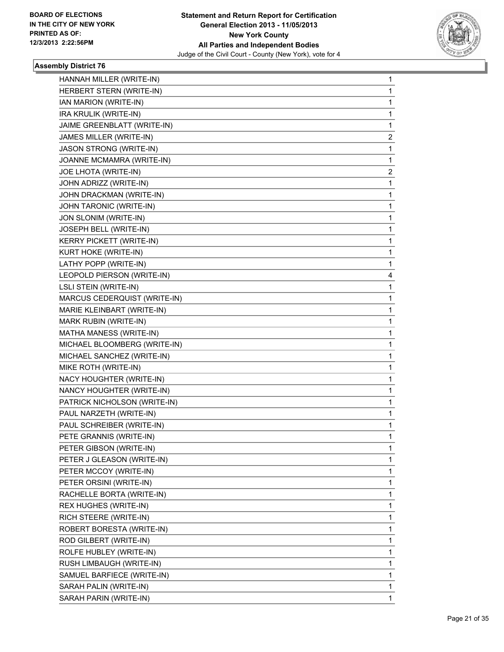

| $\mathbf{1}$ |
|--------------|
| 1            |
| 1            |
| 1            |
| 1            |
| 2            |
| 1            |
| 1            |
| 2            |
| 1            |
| 1            |
| 1            |
| 1            |
| 1            |
| 1            |
| 1            |
| 1            |
| 4            |
| 1            |
| 1            |
| 1            |
| 1            |
| 1            |
| 1            |
| 1            |
| 1            |
|              |
| 1            |
| 1            |
| 1            |
| 1            |
| 1            |
| $\mathbf 1$  |
| 1            |
| 1            |
| 1            |
| 1            |
| 1            |
| 1            |
| 1            |
| 1            |
| 1            |
| 1            |
| 1            |
| 1            |
| 1            |
|              |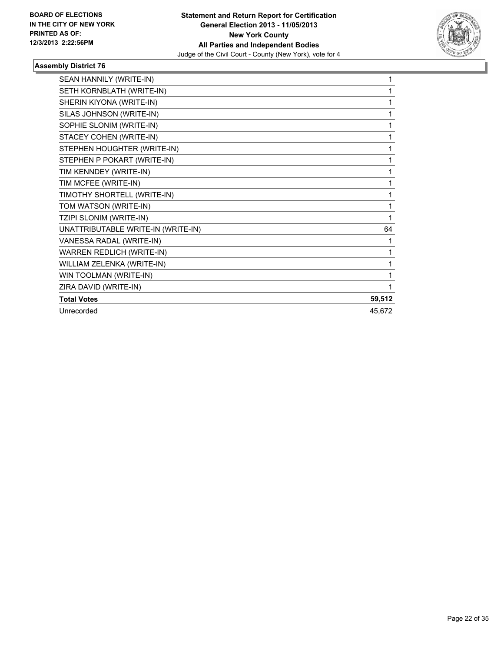

| SEAN HANNILY (WRITE-IN)            | 1      |
|------------------------------------|--------|
| SETH KORNBLATH (WRITE-IN)          | 1      |
| SHERIN KIYONA (WRITE-IN)           | 1      |
| SILAS JOHNSON (WRITE-IN)           | 1      |
| SOPHIE SLONIM (WRITE-IN)           | 1      |
| STACEY COHEN (WRITE-IN)            | 1      |
| STEPHEN HOUGHTER (WRITE-IN)        | 1      |
| STEPHEN P POKART (WRITE-IN)        | 1      |
| TIM KENNDEY (WRITE-IN)             | 1      |
| TIM MCFEE (WRITE-IN)               | 1      |
| TIMOTHY SHORTELL (WRITE-IN)        | 1      |
| TOM WATSON (WRITE-IN)              | 1      |
| TZIPI SLONIM (WRITE-IN)            | 1      |
| UNATTRIBUTABLE WRITE-IN (WRITE-IN) | 64     |
| VANESSA RADAL (WRITE-IN)           | 1      |
| WARREN REDLICH (WRITE-IN)          | 1      |
| WILLIAM ZELENKA (WRITE-IN)         | 1      |
| WIN TOOLMAN (WRITE-IN)             |        |
| ZIRA DAVID (WRITE-IN)              | 1      |
| <b>Total Votes</b>                 | 59,512 |
| Unrecorded                         | 45,672 |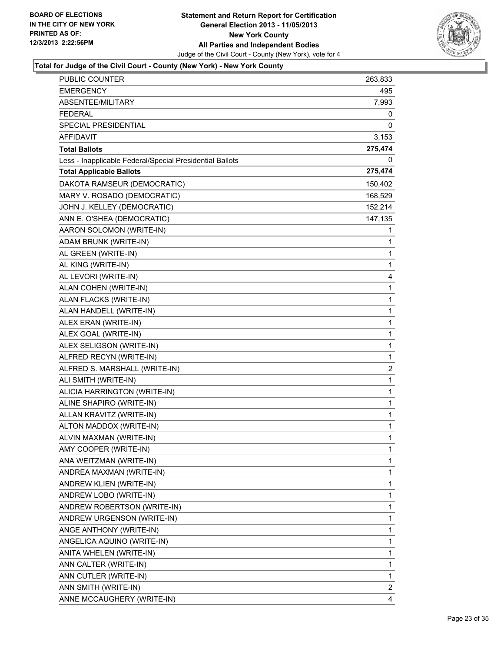

| <b>PUBLIC COUNTER</b>                                    | 263,833                 |
|----------------------------------------------------------|-------------------------|
| <b>EMERGENCY</b>                                         | 495                     |
| ABSENTEE/MILITARY                                        | 7,993                   |
| <b>FEDERAL</b>                                           | 0                       |
| SPECIAL PRESIDENTIAL                                     | 0                       |
| AFFIDAVIT                                                | 3,153                   |
| <b>Total Ballots</b>                                     | 275,474                 |
| Less - Inapplicable Federal/Special Presidential Ballots | 0                       |
| <b>Total Applicable Ballots</b>                          | 275,474                 |
| DAKOTA RAMSEUR (DEMOCRATIC)                              | 150,402                 |
| MARY V. ROSADO (DEMOCRATIC)                              | 168,529                 |
| JOHN J. KELLEY (DEMOCRATIC)                              | 152,214                 |
| ANN E. O'SHEA (DEMOCRATIC)                               | 147,135                 |
| AARON SOLOMON (WRITE-IN)                                 | 1                       |
| ADAM BRUNK (WRITE-IN)                                    | 1                       |
| AL GREEN (WRITE-IN)                                      | 1                       |
| AL KING (WRITE-IN)                                       | 1                       |
| AL LEVORI (WRITE-IN)                                     | 4                       |
| ALAN COHEN (WRITE-IN)                                    | 1                       |
| ALAN FLACKS (WRITE-IN)                                   | 1                       |
| ALAN HANDELL (WRITE-IN)                                  | 1                       |
| ALEX ERAN (WRITE-IN)                                     | 1                       |
| ALEX GOAL (WRITE-IN)                                     | 1                       |
| ALEX SELIGSON (WRITE-IN)                                 | 1                       |
| ALFRED RECYN (WRITE-IN)                                  | 1                       |
| ALFRED S. MARSHALL (WRITE-IN)                            | $\overline{\mathbf{c}}$ |
| ALI SMITH (WRITE-IN)                                     | 1                       |
| ALICIA HARRINGTON (WRITE-IN)                             | 1                       |
| ALINE SHAPIRO (WRITE-IN)                                 | 1                       |
| ALLAN KRAVITZ (WRITE-IN)                                 | 1                       |
| ALTON MADDOX (WRITE-IN)                                  | $\mathbf 1$             |
| ALVIN MAXMAN (WRITE-IN)                                  | 1                       |
| AMY COOPER (WRITE-IN)                                    | 1                       |
| ANA WEITZMAN (WRITE-IN)                                  | 1                       |
| ANDREA MAXMAN (WRITE-IN)                                 | 1                       |
| ANDREW KLIEN (WRITE-IN)                                  | 1                       |
| ANDREW LOBO (WRITE-IN)                                   | 1                       |
| ANDREW ROBERTSON (WRITE-IN)                              | 1                       |
| ANDREW URGENSON (WRITE-IN)                               | 1                       |
| ANGE ANTHONY (WRITE-IN)                                  | 1                       |
| ANGELICA AQUINO (WRITE-IN)                               | 1                       |
| ANITA WHELEN (WRITE-IN)                                  | $\mathbf 1$             |
| ANN CALTER (WRITE-IN)                                    | 1                       |
| ANN CUTLER (WRITE-IN)                                    | 1                       |
| ANN SMITH (WRITE-IN)                                     | $\mathbf{2}$            |
| ANNE MCCAUGHERY (WRITE-IN)                               | 4                       |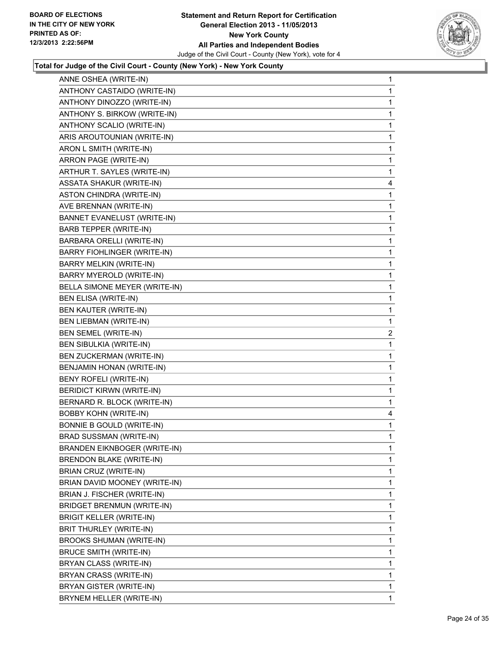

| ANNE OSHEA (WRITE-IN)              | 1            |
|------------------------------------|--------------|
| ANTHONY CASTAIDO (WRITE-IN)        | $\mathbf{1}$ |
| ANTHONY DINOZZO (WRITE-IN)         | 1            |
| ANTHONY S. BIRKOW (WRITE-IN)       | 1            |
| ANTHONY SCALIO (WRITE-IN)          | 1            |
| ARIS AROUTOUNIAN (WRITE-IN)        | 1            |
| ARON L SMITH (WRITE-IN)            | 1            |
| ARRON PAGE (WRITE-IN)              | 1            |
| ARTHUR T. SAYLES (WRITE-IN)        | 1            |
| <b>ASSATA SHAKUR (WRITE-IN)</b>    | 4            |
| <b>ASTON CHINDRA (WRITE-IN)</b>    | 1            |
| AVE BRENNAN (WRITE-IN)             | 1            |
| <b>BANNET EVANELUST (WRITE-IN)</b> | 1            |
| <b>BARB TEPPER (WRITE-IN)</b>      | 1            |
| BARBARA ORELLI (WRITE-IN)          | 1            |
| <b>BARRY FIOHLINGER (WRITE-IN)</b> | 1            |
| BARRY MELKIN (WRITE-IN)            | 1            |
| BARRY MYEROLD (WRITE-IN)           | 1            |
| BELLA SIMONE MEYER (WRITE-IN)      | 1            |
| BEN ELISA (WRITE-IN)               | 1            |
| BEN KAUTER (WRITE-IN)              | 1            |
| <b>BEN LIEBMAN (WRITE-IN)</b>      | 1            |
| BEN SEMEL (WRITE-IN)               | 2            |
| <b>BEN SIBULKIA (WRITE-IN)</b>     | 1            |
| BEN ZUCKERMAN (WRITE-IN)           | 1            |
| BENJAMIN HONAN (WRITE-IN)          | 1            |
| BENY ROFELI (WRITE-IN)             | 1            |
| <b>BERIDICT KIRWN (WRITE-IN)</b>   | 1            |
| BERNARD R. BLOCK (WRITE-IN)        | 1            |
| <b>BOBBY KOHN (WRITE-IN)</b>       | 4            |
| <b>BONNIE B GOULD (WRITE-IN)</b>   | 1            |
| BRAD SUSSMAN (WRITE-IN)            | 1            |
| BRANDEN EIKNBOGER (WRITE-IN)       | 1            |
| <b>BRENDON BLAKE (WRITE-IN)</b>    | 1            |
| BRIAN CRUZ (WRITE-IN)              | 1            |
| BRIAN DAVID MOONEY (WRITE-IN)      | 1            |
| BRIAN J. FISCHER (WRITE-IN)        | 1            |
| <b>BRIDGET BRENMUN (WRITE-IN)</b>  | 1            |
| <b>BRIGIT KELLER (WRITE-IN)</b>    | 1            |
| BRIT THURLEY (WRITE-IN)            | 1            |
| BROOKS SHUMAN (WRITE-IN)           | $\mathbf{1}$ |
| <b>BRUCE SMITH (WRITE-IN)</b>      | 1            |
| BRYAN CLASS (WRITE-IN)             | 1            |
| BRYAN CRASS (WRITE-IN)             | 1            |
| BRYAN GISTER (WRITE-IN)            | 1            |
| BRYNEM HELLER (WRITE-IN)           | $\mathbf{1}$ |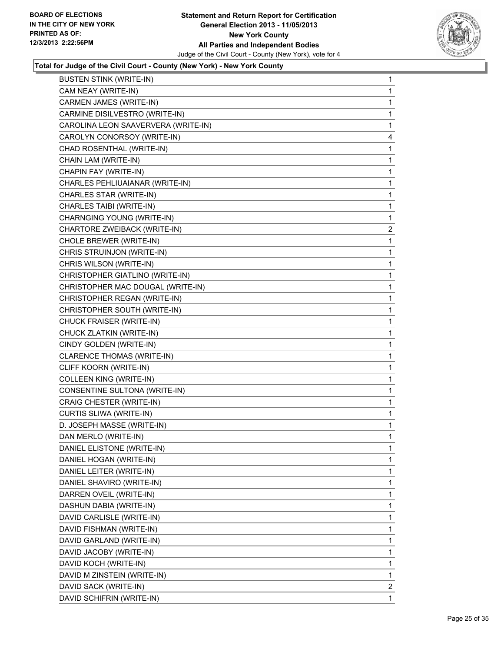

| <b>BUSTEN STINK (WRITE-IN)</b>      | 1              |
|-------------------------------------|----------------|
| CAM NEAY (WRITE-IN)                 | $\mathbf{1}$   |
| CARMEN JAMES (WRITE-IN)             | 1              |
| CARMINE DISILVESTRO (WRITE-IN)      | 1              |
| CAROLINA LEON SAAVERVERA (WRITE-IN) | 1              |
| CAROLYN CONORSOY (WRITE-IN)         | 4              |
| CHAD ROSENTHAL (WRITE-IN)           | 1              |
| CHAIN LAM (WRITE-IN)                | 1              |
| CHAPIN FAY (WRITE-IN)               | 1              |
| CHARLES PEHLIUAIANAR (WRITE-IN)     | 1              |
| CHARLES STAR (WRITE-IN)             | 1              |
| CHARLES TAIBI (WRITE-IN)            | 1              |
| CHARNGING YOUNG (WRITE-IN)          | 1              |
| CHARTORE ZWEIBACK (WRITE-IN)        | $\overline{2}$ |
| CHOLE BREWER (WRITE-IN)             | 1              |
| CHRIS STRUINJON (WRITE-IN)          | 1              |
| CHRIS WILSON (WRITE-IN)             | 1              |
| CHRISTOPHER GIATLINO (WRITE-IN)     | 1              |
| CHRISTOPHER MAC DOUGAL (WRITE-IN)   | 1              |
| CHRISTOPHER REGAN (WRITE-IN)        | 1              |
| CHRISTOPHER SOUTH (WRITE-IN)        | 1              |
| CHUCK FRAISER (WRITE-IN)            | 1              |
| CHUCK ZLATKIN (WRITE-IN)            | 1              |
| CINDY GOLDEN (WRITE-IN)             | 1              |
| CLARENCE THOMAS (WRITE-IN)          | 1              |
| CLIFF KOORN (WRITE-IN)              | 1              |
| COLLEEN KING (WRITE-IN)             | 1              |
| CONSENTINE SULTONA (WRITE-IN)       | 1              |
| CRAIG CHESTER (WRITE-IN)            | 1              |
| CURTIS SLIWA (WRITE-IN)             | 1              |
| D. JOSEPH MASSE (WRITE-IN)          | 1              |
| DAN MERLO (WRITE-IN)                | 1              |
| DANIEL ELISTONE (WRITE-IN)          | 1              |
| DANIEL HOGAN (WRITE-IN)             | 1              |
| DANIEL LEITER (WRITE-IN)            | 1              |
| DANIEL SHAVIRO (WRITE-IN)           | 1              |
| DARREN OVEIL (WRITE-IN)             | 1              |
| DASHUN DABIA (WRITE-IN)             | 1              |
| DAVID CARLISLE (WRITE-IN)           | 1              |
| DAVID FISHMAN (WRITE-IN)            | 1              |
| DAVID GARLAND (WRITE-IN)            | 1              |
| DAVID JACOBY (WRITE-IN)             | 1              |
| DAVID KOCH (WRITE-IN)               | 1              |
| DAVID M ZINSTEIN (WRITE-IN)         | 1              |
| DAVID SACK (WRITE-IN)               | $\overline{2}$ |
| DAVID SCHIFRIN (WRITE-IN)           | 1              |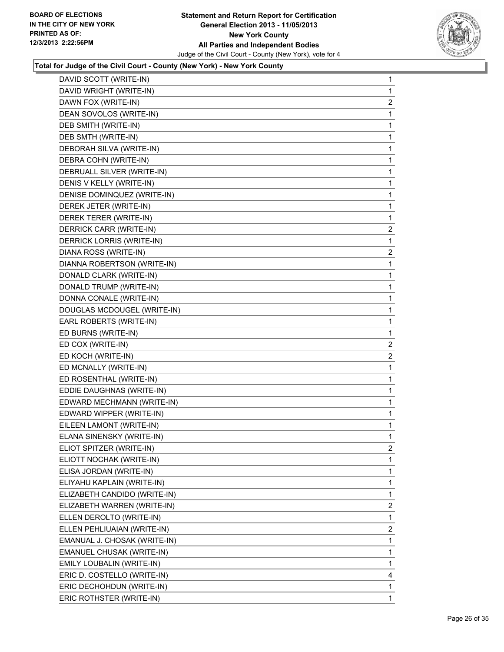

| DAVID SCOTT (WRITE-IN)       | 1                       |
|------------------------------|-------------------------|
| DAVID WRIGHT (WRITE-IN)      | 1                       |
| DAWN FOX (WRITE-IN)          | 2                       |
| DEAN SOVOLOS (WRITE-IN)      | 1                       |
| DEB SMITH (WRITE-IN)         | 1                       |
| DEB SMTH (WRITE-IN)          | 1                       |
| DEBORAH SILVA (WRITE-IN)     | 1                       |
| DEBRA COHN (WRITE-IN)        | 1                       |
| DEBRUALL SILVER (WRITE-IN)   | 1                       |
| DENIS V KELLY (WRITE-IN)     | 1                       |
| DENISE DOMINQUEZ (WRITE-IN)  | 1                       |
| DEREK JETER (WRITE-IN)       | 1                       |
| DEREK TERER (WRITE-IN)       | 1                       |
| DERRICK CARR (WRITE-IN)      | $\overline{2}$          |
| DERRICK LORRIS (WRITE-IN)    | 1                       |
| DIANA ROSS (WRITE-IN)        | $\overline{\mathbf{c}}$ |
| DIANNA ROBERTSON (WRITE-IN)  | 1                       |
| DONALD CLARK (WRITE-IN)      | 1                       |
| DONALD TRUMP (WRITE-IN)      | 1                       |
| DONNA CONALE (WRITE-IN)      | 1                       |
| DOUGLAS MCDOUGEL (WRITE-IN)  | 1                       |
| EARL ROBERTS (WRITE-IN)      | 1                       |
| ED BURNS (WRITE-IN)          | 1                       |
| ED COX (WRITE-IN)            | 2                       |
| ED KOCH (WRITE-IN)           | $\overline{2}$          |
| ED MCNALLY (WRITE-IN)        | 1                       |
| ED ROSENTHAL (WRITE-IN)      | 1                       |
| EDDIE DAUGHNAS (WRITE-IN)    | 1                       |
| EDWARD MECHMANN (WRITE-IN)   | 1                       |
| EDWARD WIPPER (WRITE-IN)     | 1                       |
| EILEEN LAMONT (WRITE-IN)     | 1                       |
| ELANA SINENSKY (WRITE-IN)    | 1                       |
| ELIOT SPITZER (WRITE-IN)     | 2                       |
| ELIOTT NOCHAK (WRITE-IN)     | 1                       |
| ELISA JORDAN (WRITE-IN)      | 1                       |
| ELIYAHU KAPLAIN (WRITE-IN)   | 1                       |
| ELIZABETH CANDIDO (WRITE-IN) | 1                       |
| ELIZABETH WARREN (WRITE-IN)  | $\overline{2}$          |
| ELLEN DEROLTO (WRITE-IN)     | 1                       |
| ELLEN PEHLIUAIAN (WRITE-IN)  | 2                       |
| EMANUAL J. CHOSAK (WRITE-IN) | 1                       |
| EMANUEL CHUSAK (WRITE-IN)    | 1                       |
| EMILY LOUBALIN (WRITE-IN)    | 1                       |
| ERIC D. COSTELLO (WRITE-IN)  | 4                       |
| ERIC DECHOHDUN (WRITE-IN)    | 1                       |
| ERIC ROTHSTER (WRITE-IN)     | 1                       |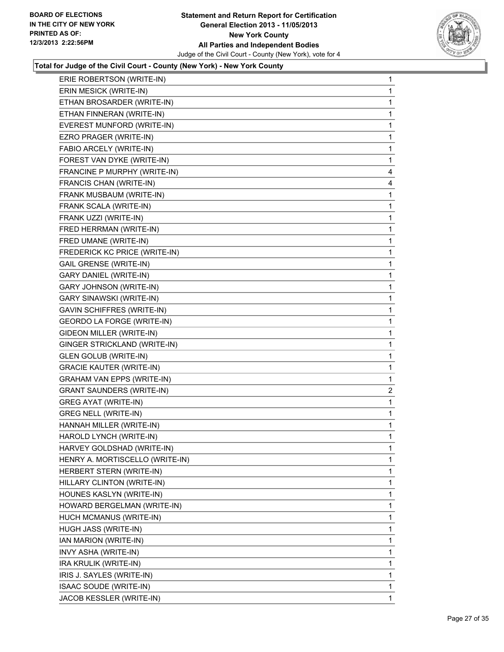

| ERIE ROBERTSON (WRITE-IN)         | 1            |
|-----------------------------------|--------------|
| ERIN MESICK (WRITE-IN)            | 1            |
| ETHAN BROSARDER (WRITE-IN)        | 1            |
| ETHAN FINNERAN (WRITE-IN)         | 1            |
| EVEREST MUNFORD (WRITE-IN)        | 1            |
| EZRO PRAGER (WRITE-IN)            | 1            |
| FABIO ARCELY (WRITE-IN)           | 1            |
| FOREST VAN DYKE (WRITE-IN)        | 1            |
| FRANCINE P MURPHY (WRITE-IN)      | 4            |
| FRANCIS CHAN (WRITE-IN)           | 4            |
| FRANK MUSBAUM (WRITE-IN)          | 1            |
| FRANK SCALA (WRITE-IN)            | 1            |
| FRANK UZZI (WRITE-IN)             | 1            |
| FRED HERRMAN (WRITE-IN)           | 1            |
| FRED UMANE (WRITE-IN)             | 1            |
| FREDERICK KC PRICE (WRITE-IN)     | 1            |
| <b>GAIL GRENSE (WRITE-IN)</b>     | 1            |
| <b>GARY DANIEL (WRITE-IN)</b>     | 1            |
| <b>GARY JOHNSON (WRITE-IN)</b>    | 1            |
| <b>GARY SINAWSKI (WRITE-IN)</b>   | 1            |
| <b>GAVIN SCHIFFRES (WRITE-IN)</b> | 1            |
| GEORDO LA FORGE (WRITE-IN)        | 1            |
| GIDEON MILLER (WRITE-IN)          | 1            |
| GINGER STRICKLAND (WRITE-IN)      | 1            |
| <b>GLEN GOLUB (WRITE-IN)</b>      | 1            |
| <b>GRACIE KAUTER (WRITE-IN)</b>   | 1            |
| <b>GRAHAM VAN EPPS (WRITE-IN)</b> | 1            |
| <b>GRANT SAUNDERS (WRITE-IN)</b>  | 2            |
| <b>GREG AYAT (WRITE-IN)</b>       | 1            |
| <b>GREG NELL (WRITE-IN)</b>       | 1            |
| HANNAH MILLER (WRITE-IN)          | 1            |
| HAROLD LYNCH (WRITE-IN)           | 1            |
| HARVEY GOLDSHAD (WRITE-IN)        | 1            |
| HENRY A. MORTISCELLO (WRITE-IN)   | 1            |
| <b>HERBERT STERN (WRITE-IN)</b>   | 1            |
| HILLARY CLINTON (WRITE-IN)        | 1            |
| HOUNES KASLYN (WRITE-IN)          | 1            |
| HOWARD BERGELMAN (WRITE-IN)       | 1            |
| HUCH MCMANUS (WRITE-IN)           | 1            |
| HUGH JASS (WRITE-IN)              | 1            |
| IAN MARION (WRITE-IN)             | 1            |
| INVY ASHA (WRITE-IN)              | 1            |
| IRA KRULIK (WRITE-IN)             | 1            |
| IRIS J. SAYLES (WRITE-IN)         | $\mathbf{1}$ |
| ISAAC SOUDE (WRITE-IN)            | 1            |
| JACOB KESSLER (WRITE-IN)          | 1            |
|                                   |              |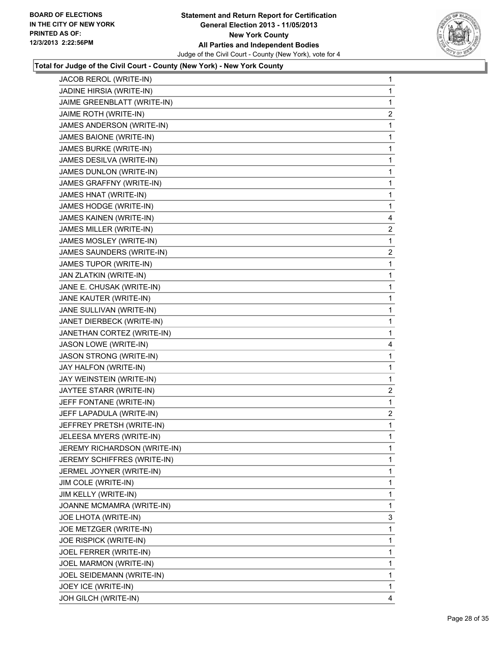

| JACOB REROL (WRITE-IN)         | 1              |
|--------------------------------|----------------|
| JADINE HIRSIA (WRITE-IN)       | 1              |
| JAIME GREENBLATT (WRITE-IN)    | 1              |
| JAIME ROTH (WRITE-IN)          | $\overline{c}$ |
| JAMES ANDERSON (WRITE-IN)      | 1              |
| JAMES BAIONE (WRITE-IN)        | 1              |
| JAMES BURKE (WRITE-IN)         | 1              |
| JAMES DESILVA (WRITE-IN)       | 1              |
| JAMES DUNLON (WRITE-IN)        | 1              |
| JAMES GRAFFNY (WRITE-IN)       | 1              |
| JAMES HNAT (WRITE-IN)          | 1              |
| JAMES HODGE (WRITE-IN)         | 1              |
| JAMES KAINEN (WRITE-IN)        | 4              |
| JAMES MILLER (WRITE-IN)        | 2              |
| JAMES MOSLEY (WRITE-IN)        | 1              |
| JAMES SAUNDERS (WRITE-IN)      | $\overline{c}$ |
| JAMES TUPOR (WRITE-IN)         | 1              |
| JAN ZLATKIN (WRITE-IN)         | 1              |
| JANE E. CHUSAK (WRITE-IN)      | 1              |
| JANE KAUTER (WRITE-IN)         | 1              |
| JANE SULLIVAN (WRITE-IN)       | 1              |
| JANET DIERBECK (WRITE-IN)      | 1              |
| JANETHAN CORTEZ (WRITE-IN)     | 1              |
| JASON LOWE (WRITE-IN)          | 4              |
| <b>JASON STRONG (WRITE-IN)</b> | 1              |
| JAY HALFON (WRITE-IN)          | 1              |
| JAY WEINSTEIN (WRITE-IN)       | 1              |
| JAYTEE STARR (WRITE-IN)        | $\mathbf{2}$   |
| JEFF FONTANE (WRITE-IN)        | 1              |
| JEFF LAPADULA (WRITE-IN)       | $\mathbf{2}$   |
| JEFFREY PRETSH (WRITE-IN)      | 1              |
| JELEESA MYERS (WRITE-IN)       | 1              |
| JEREMY RICHARDSON (WRITE-IN)   | 1              |
| JEREMY SCHIFFRES (WRITE-IN)    | 1              |
| JERMEL JOYNER (WRITE-IN)       | 1              |
| JIM COLE (WRITE-IN)            | 1              |
| JIM KELLY (WRITE-IN)           | 1              |
| JOANNE MCMAMRA (WRITE-IN)      | 1              |
| JOE LHOTA (WRITE-IN)           | 3              |
| JOE METZGER (WRITE-IN)         | 1              |
| JOE RISPICK (WRITE-IN)         | 1              |
| JOEL FERRER (WRITE-IN)         | 1              |
| JOEL MARMON (WRITE-IN)         | 1              |
| JOEL SEIDEMANN (WRITE-IN)      | 1              |
| JOEY ICE (WRITE-IN)            | 1              |
| JOH GILCH (WRITE-IN)           | 4              |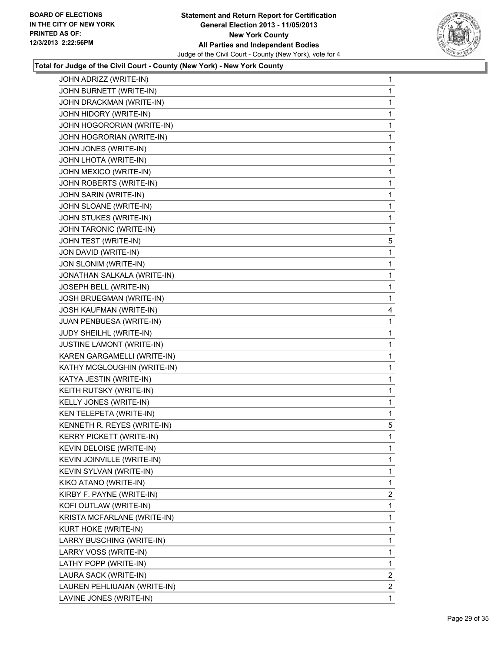

| JOHN ADRIZZ (WRITE-IN)          | 1              |
|---------------------------------|----------------|
| JOHN BURNETT (WRITE-IN)         | 1              |
| JOHN DRACKMAN (WRITE-IN)        | 1              |
| JOHN HIDORY (WRITE-IN)          | 1              |
| JOHN HOGORORIAN (WRITE-IN)      | 1              |
| JOHN HOGRORIAN (WRITE-IN)       | 1              |
| JOHN JONES (WRITE-IN)           | 1              |
| JOHN LHOTA (WRITE-IN)           | 1              |
| JOHN MEXICO (WRITE-IN)          | 1              |
| JOHN ROBERTS (WRITE-IN)         | 1              |
| JOHN SARIN (WRITE-IN)           | 1              |
| JOHN SLOANE (WRITE-IN)          | 1              |
| JOHN STUKES (WRITE-IN)          | 1              |
| JOHN TARONIC (WRITE-IN)         | 1              |
| JOHN TEST (WRITE-IN)            | 5              |
| JON DAVID (WRITE-IN)            | 1              |
| JON SLONIM (WRITE-IN)           | 1              |
| JONATHAN SALKALA (WRITE-IN)     | 1              |
| JOSEPH BELL (WRITE-IN)          | 1              |
| JOSH BRUEGMAN (WRITE-IN)        | 1              |
| <b>JOSH KAUFMAN (WRITE-IN)</b>  | 4              |
| JUAN PENBUESA (WRITE-IN)        | 1              |
| JUDY SHEILHL (WRITE-IN)         | 1              |
| JUSTINE LAMONT (WRITE-IN)       | 1              |
| KAREN GARGAMELLI (WRITE-IN)     | 1              |
| KATHY MCGLOUGHIN (WRITE-IN)     | 1              |
| KATYA JESTIN (WRITE-IN)         | 1              |
| KEITH RUTSKY (WRITE-IN)         | 1              |
| KELLY JONES (WRITE-IN)          | 1              |
| KEN TELEPETA (WRITE-IN)         | 1              |
| KENNETH R. REYES (WRITE-IN)     | 5              |
| <b>KERRY PICKETT (WRITE-IN)</b> | 1              |
| KEVIN DELOISE (WRITE-IN)        | 1              |
| KEVIN JOINVILLE (WRITE-IN)      | 1              |
| KEVIN SYLVAN (WRITE-IN)         | 1              |
| KIKO ATANO (WRITE-IN)           | 1              |
| KIRBY F. PAYNE (WRITE-IN)       | $\overline{2}$ |
| KOFI OUTLAW (WRITE-IN)          | 1              |
| KRISTA MCFARLANE (WRITE-IN)     | 1              |
| KURT HOKE (WRITE-IN)            | 1              |
| LARRY BUSCHING (WRITE-IN)       | 1              |
| LARRY VOSS (WRITE-IN)           | 1              |
| LATHY POPP (WRITE-IN)           | 1              |
| LAURA SACK (WRITE-IN)           | 2              |
| LAUREN PEHLIUAIAN (WRITE-IN)    | 2              |
| LAVINE JONES (WRITE-IN)         | 1              |
|                                 |                |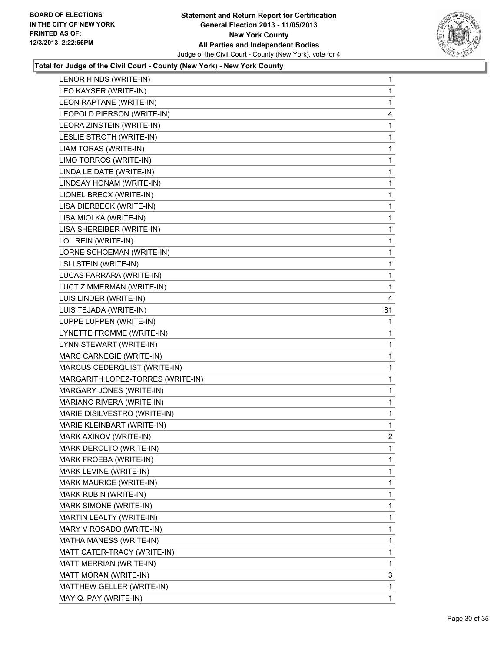

| LENOR HINDS (WRITE-IN)            | 1              |
|-----------------------------------|----------------|
| LEO KAYSER (WRITE-IN)             | 1              |
| LEON RAPTANE (WRITE-IN)           | 1              |
| LEOPOLD PIERSON (WRITE-IN)        | 4              |
| LEORA ZINSTEIN (WRITE-IN)         | 1              |
| LESLIE STROTH (WRITE-IN)          | 1              |
| LIAM TORAS (WRITE-IN)             | 1              |
| LIMO TORROS (WRITE-IN)            | 1              |
| LINDA LEIDATE (WRITE-IN)          | 1              |
| LINDSAY HONAM (WRITE-IN)          | 1              |
| LIONEL BRECX (WRITE-IN)           | 1              |
| LISA DIERBECK (WRITE-IN)          | 1              |
| LISA MIOLKA (WRITE-IN)            | 1              |
| LISA SHEREIBER (WRITE-IN)         | 1              |
| LOL REIN (WRITE-IN)               | 1              |
| LORNE SCHOEMAN (WRITE-IN)         | 1              |
| <b>LSLI STEIN (WRITE-IN)</b>      | 1              |
| LUCAS FARRARA (WRITE-IN)          | 1              |
| LUCT ZIMMERMAN (WRITE-IN)         | 1              |
| LUIS LINDER (WRITE-IN)            | 4              |
| LUIS TEJADA (WRITE-IN)            | 81             |
| LUPPE LUPPEN (WRITE-IN)           | 1              |
| LYNETTE FROMME (WRITE-IN)         | 1              |
| LYNN STEWART (WRITE-IN)           | 1              |
| MARC CARNEGIE (WRITE-IN)          | 1              |
| MARCUS CEDERQUIST (WRITE-IN)      | 1              |
| MARGARITH LOPEZ-TORRES (WRITE-IN) | 1              |
| MARGARY JONES (WRITE-IN)          | 1              |
| MARIANO RIVERA (WRITE-IN)         | 1              |
| MARIE DISILVESTRO (WRITE-IN)      | 1              |
| MARIE KLEINBART (WRITE-IN)        | 1              |
| MARK AXINOV (WRITE-IN)            | $\overline{2}$ |
| MARK DEROLTO (WRITE-IN)           | 1              |
| MARK FROEBA (WRITE-IN)            | 1              |
| MARK LEVINE (WRITE-IN)            | 1              |
| MARK MAURICE (WRITE-IN)           | 1              |
| MARK RUBIN (WRITE-IN)             | 1              |
| MARK SIMONE (WRITE-IN)            | 1              |
| MARTIN LEALTY (WRITE-IN)          | 1              |
| MARY V ROSADO (WRITE-IN)          | 1              |
| MATHA MANESS (WRITE-IN)           | 1              |
| MATT CATER-TRACY (WRITE-IN)       | 1              |
| MATT MERRIAN (WRITE-IN)           | 1              |
| MATT MORAN (WRITE-IN)             | 3              |
| MATTHEW GELLER (WRITE-IN)         | 1              |
| MAY Q. PAY (WRITE-IN)             | $\mathbf{1}$   |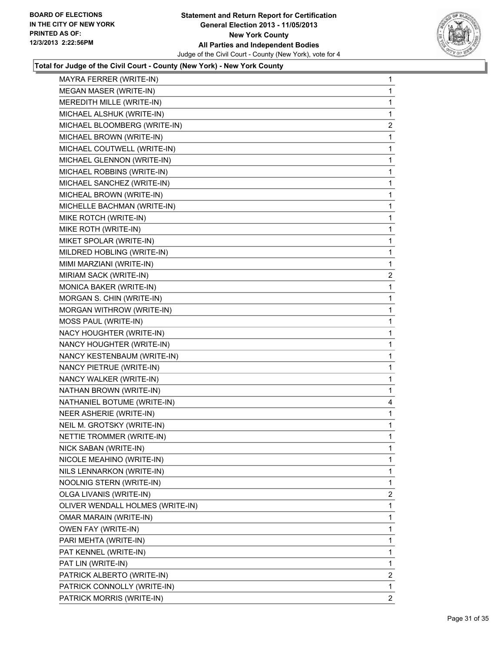

| MAYRA FERRER (WRITE-IN)          | 1              |
|----------------------------------|----------------|
| <b>MEGAN MASER (WRITE-IN)</b>    | 1              |
| MEREDITH MILLE (WRITE-IN)        | 1              |
| MICHAEL ALSHUK (WRITE-IN)        | $\mathbf 1$    |
| MICHAEL BLOOMBERG (WRITE-IN)     | $\overline{2}$ |
| MICHAEL BROWN (WRITE-IN)         | 1              |
| MICHAEL COUTWELL (WRITE-IN)      | 1              |
| MICHAEL GLENNON (WRITE-IN)       | 1              |
| MICHAEL ROBBINS (WRITE-IN)       | 1              |
| MICHAEL SANCHEZ (WRITE-IN)       | 1              |
| MICHEAL BROWN (WRITE-IN)         | 1              |
| MICHELLE BACHMAN (WRITE-IN)      | 1              |
| MIKE ROTCH (WRITE-IN)            | 1              |
| MIKE ROTH (WRITE-IN)             | 1              |
| MIKET SPOLAR (WRITE-IN)          | 1              |
| MILDRED HOBLING (WRITE-IN)       | 1              |
| MIMI MARZIANI (WRITE-IN)         | 1              |
| MIRIAM SACK (WRITE-IN)           | 2              |
| MONICA BAKER (WRITE-IN)          | 1              |
| MORGAN S. CHIN (WRITE-IN)        | 1              |
| <b>MORGAN WITHROW (WRITE-IN)</b> | 1              |
| MOSS PAUL (WRITE-IN)             | 1              |
| NACY HOUGHTER (WRITE-IN)         | 1              |
| NANCY HOUGHTER (WRITE-IN)        | 1              |
| NANCY KESTENBAUM (WRITE-IN)      | 1              |
| NANCY PIETRUE (WRITE-IN)         | 1              |
| NANCY WALKER (WRITE-IN)          | 1              |
| NATHAN BROWN (WRITE-IN)          | 1              |
| NATHANIEL BOTUME (WRITE-IN)      | 4              |
| NEER ASHERIE (WRITE-IN)          | 1              |
| NEIL M. GROTSKY (WRITE-IN)       | 1              |
| NETTIE TROMMER (WRITE-IN)        | 1              |
| NICK SABAN (WRITE-IN)            | 1              |
| NICOLE MEAHINO (WRITE-IN)        | 1              |
| NILS LENNARKON (WRITE-IN)        | 1              |
| NOOLNIG STERN (WRITE-IN)         | 1              |
| OLGA LIVANIS (WRITE-IN)          | 2              |
| OLIVER WENDALL HOLMES (WRITE-IN) | 1              |
| OMAR MARAIN (WRITE-IN)           | 1              |
| OWEN FAY (WRITE-IN)              | 1              |
| PARI MEHTA (WRITE-IN)            | 1              |
| PAT KENNEL (WRITE-IN)            | 1              |
| PAT LIN (WRITE-IN)               | 1              |
| PATRICK ALBERTO (WRITE-IN)       | $\overline{2}$ |
| PATRICK CONNOLLY (WRITE-IN)      | 1.             |
| PATRICK MORRIS (WRITE-IN)        | 2              |
|                                  |                |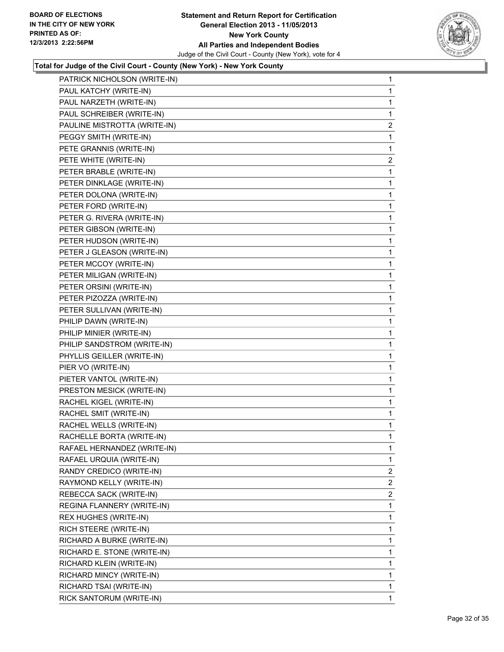

| PATRICK NICHOLSON (WRITE-IN) | 1              |
|------------------------------|----------------|
| PAUL KATCHY (WRITE-IN)       | 1              |
| PAUL NARZETH (WRITE-IN)      | 1              |
| PAUL SCHREIBER (WRITE-IN)    | 1              |
| PAULINE MISTROTTA (WRITE-IN) | 2              |
| PEGGY SMITH (WRITE-IN)       | 1              |
| PETE GRANNIS (WRITE-IN)      | 1              |
| PETE WHITE (WRITE-IN)        | 2              |
| PETER BRABLE (WRITE-IN)      | 1              |
| PETER DINKLAGE (WRITE-IN)    | 1              |
| PETER DOLONA (WRITE-IN)      | 1              |
| PETER FORD (WRITE-IN)        | 1              |
| PETER G. RIVERA (WRITE-IN)   | 1              |
| PETER GIBSON (WRITE-IN)      | 1              |
| PETER HUDSON (WRITE-IN)      | 1              |
| PETER J GLEASON (WRITE-IN)   | 1              |
| PETER MCCOY (WRITE-IN)       | 1              |
| PETER MILIGAN (WRITE-IN)     | 1              |
| PETER ORSINI (WRITE-IN)      | 1              |
| PETER PIZOZZA (WRITE-IN)     | 1              |
| PETER SULLIVAN (WRITE-IN)    | 1              |
| PHILIP DAWN (WRITE-IN)       | 1              |
| PHILIP MINIER (WRITE-IN)     | 1              |
| PHILIP SANDSTROM (WRITE-IN)  | 1              |
| PHYLLIS GEILLER (WRITE-IN)   | 1              |
| PIER VO (WRITE-IN)           | 1              |
| PIETER VANTOL (WRITE-IN)     | 1              |
| PRESTON MESICK (WRITE-IN)    | 1              |
| RACHEL KIGEL (WRITE-IN)      | 1              |
| RACHEL SMIT (WRITE-IN)       | 1              |
| RACHEL WELLS (WRITE-IN)      | 1              |
| RACHELLE BORTA (WRITE-IN)    | $\mathbf 1$    |
| RAFAEL HERNANDEZ (WRITE-IN)  | 1              |
| RAFAEL URQUIA (WRITE-IN)     | $\mathbf{1}$   |
| RANDY CREDICO (WRITE-IN)     | 2              |
| RAYMOND KELLY (WRITE-IN)     | 2              |
| REBECCA SACK (WRITE-IN)      | $\overline{2}$ |
| REGINA FLANNERY (WRITE-IN)   | 1              |
| REX HUGHES (WRITE-IN)        | 1              |
| RICH STEERE (WRITE-IN)       | 1              |
| RICHARD A BURKE (WRITE-IN)   | 1              |
| RICHARD E. STONE (WRITE-IN)  | 1              |
| RICHARD KLEIN (WRITE-IN)     | 1              |
| RICHARD MINCY (WRITE-IN)     | 1              |
| RICHARD TSAI (WRITE-IN)      | 1              |
| RICK SANTORUM (WRITE-IN)     | $\mathbf{1}$   |
|                              |                |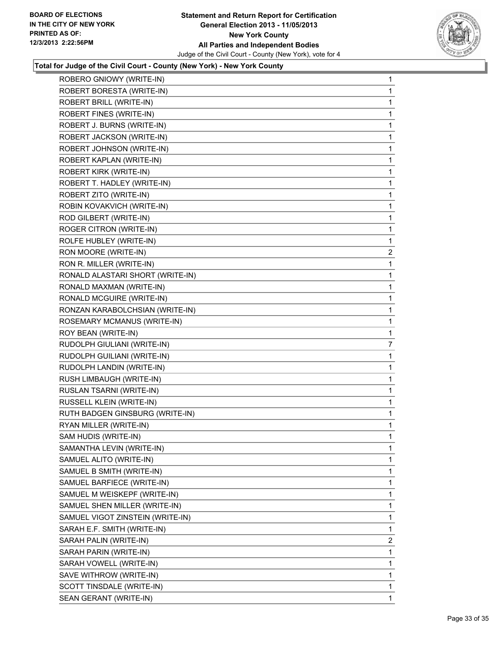

| ROBERO GNIOWY (WRITE-IN)         | 1              |
|----------------------------------|----------------|
| ROBERT BORESTA (WRITE-IN)        | $\mathbf{1}$   |
| ROBERT BRILL (WRITE-IN)          | 1              |
| ROBERT FINES (WRITE-IN)          | 1              |
| ROBERT J. BURNS (WRITE-IN)       | 1              |
| ROBERT JACKSON (WRITE-IN)        | 1              |
| ROBERT JOHNSON (WRITE-IN)        | 1              |
| ROBERT KAPLAN (WRITE-IN)         | 1              |
| <b>ROBERT KIRK (WRITE-IN)</b>    | 1              |
| ROBERT T. HADLEY (WRITE-IN)      | 1              |
| ROBERT ZITO (WRITE-IN)           | 1              |
| ROBIN KOVAKVICH (WRITE-IN)       | 1              |
| ROD GILBERT (WRITE-IN)           | 1              |
| ROGER CITRON (WRITE-IN)          | 1              |
| ROLFE HUBLEY (WRITE-IN)          | 1              |
| RON MOORE (WRITE-IN)             | 2              |
| RON R. MILLER (WRITE-IN)         | 1              |
| RONALD ALASTARI SHORT (WRITE-IN) | 1              |
| RONALD MAXMAN (WRITE-IN)         | 1              |
| RONALD MCGUIRE (WRITE-IN)        | 1              |
| RONZAN KARABOLCHSIAN (WRITE-IN)  | 1              |
| ROSEMARY MCMANUS (WRITE-IN)      | 1              |
| ROY BEAN (WRITE-IN)              | 1              |
| RUDOLPH GIULIANI (WRITE-IN)      | 7              |
| RUDOLPH GUILIANI (WRITE-IN)      | 1              |
| RUDOLPH LANDIN (WRITE-IN)        | 1              |
| RUSH LIMBAUGH (WRITE-IN)         | 1              |
| RUSLAN TSARNI (WRITE-IN)         | 1              |
| RUSSELL KLEIN (WRITE-IN)         | 1              |
| RUTH BADGEN GINSBURG (WRITE-IN)  | 1              |
| RYAN MILLER (WRITE-IN)           | 1              |
| SAM HUDIS (WRITE-IN)             | 1              |
| SAMANTHA LEVIN (WRITE-IN)        | 1              |
| SAMUEL ALITO (WRITE-IN)          | 1              |
| SAMUEL B SMITH (WRITE-IN)        | 1              |
| SAMUEL BARFIECE (WRITE-IN)       | 1              |
| SAMUEL M WEISKEPF (WRITE-IN)     | 1              |
| SAMUEL SHEN MILLER (WRITE-IN)    | 1              |
| SAMUEL VIGOT ZINSTEIN (WRITE-IN) | 1              |
| SARAH E.F. SMITH (WRITE-IN)      | 1              |
| SARAH PALIN (WRITE-IN)           | $\overline{2}$ |
| SARAH PARIN (WRITE-IN)           | 1              |
| SARAH VOWELL (WRITE-IN)          | 1              |
| SAVE WITHROW (WRITE-IN)          | 1              |
| SCOTT TINSDALE (WRITE-IN)        | 1              |
| SEAN GERANT (WRITE-IN)           | $\mathbf{1}$   |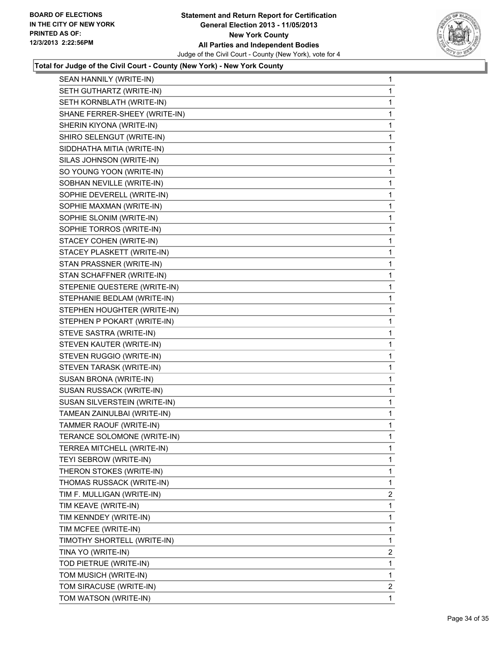

| SEAN HANNILY (WRITE-IN)       | 1              |
|-------------------------------|----------------|
| SETH GUTHARTZ (WRITE-IN)      | 1              |
| SETH KORNBLATH (WRITE-IN)     | 1              |
| SHANE FERRER-SHEEY (WRITE-IN) | 1              |
| SHERIN KIYONA (WRITE-IN)      | 1              |
| SHIRO SELENGUT (WRITE-IN)     | 1              |
| SIDDHATHA MITIA (WRITE-IN)    | 1              |
| SILAS JOHNSON (WRITE-IN)      | 1              |
| SO YOUNG YOON (WRITE-IN)      | 1              |
| SOBHAN NEVILLE (WRITE-IN)     | 1              |
| SOPHIE DEVERELL (WRITE-IN)    | 1              |
| SOPHIE MAXMAN (WRITE-IN)      | 1              |
| SOPHIE SLONIM (WRITE-IN)      | 1              |
| SOPHIE TORROS (WRITE-IN)      | 1              |
| STACEY COHEN (WRITE-IN)       | 1              |
| STACEY PLASKETT (WRITE-IN)    | 1              |
| STAN PRASSNER (WRITE-IN)      | 1              |
| STAN SCHAFFNER (WRITE-IN)     | 1              |
| STEPENIE QUESTERE (WRITE-IN)  | 1              |
| STEPHANIE BEDLAM (WRITE-IN)   | 1              |
| STEPHEN HOUGHTER (WRITE-IN)   | 1              |
| STEPHEN P POKART (WRITE-IN)   | 1              |
| STEVE SASTRA (WRITE-IN)       | 1              |
| STEVEN KAUTER (WRITE-IN)      | 1              |
| STEVEN RUGGIO (WRITE-IN)      | 1              |
| STEVEN TARASK (WRITE-IN)      | 1              |
| SUSAN BRONA (WRITE-IN)        | 1              |
| SUSAN RUSSACK (WRITE-IN)      | 1              |
| SUSAN SILVERSTEIN (WRITE-IN)  | 1              |
| TAMEAN ZAINULBAI (WRITE-IN)   | 1              |
| TAMMER RAOUF (WRITE-IN)       | 1              |
| TERANCE SOLOMONE (WRITE-IN)   | 1              |
| TERREA MITCHELL (WRITE-IN)    | 1              |
| TEYI SEBROW (WRITE-IN)        | 1              |
| THERON STOKES (WRITE-IN)      | 1              |
| THOMAS RUSSACK (WRITE-IN)     | 1              |
| TIM F. MULLIGAN (WRITE-IN)    | $\overline{2}$ |
| TIM KEAVE (WRITE-IN)          | 1              |
| TIM KENNDEY (WRITE-IN)        | 1              |
| TIM MCFEE (WRITE-IN)          | 1              |
| TIMOTHY SHORTELL (WRITE-IN)   | 1              |
| TINA YO (WRITE-IN)            | 2              |
| TOD PIETRUE (WRITE-IN)        | 1              |
| TOM MUSICH (WRITE-IN)         | 1              |
| TOM SIRACUSE (WRITE-IN)       | 2              |
| TOM WATSON (WRITE-IN)         | 1              |
|                               |                |